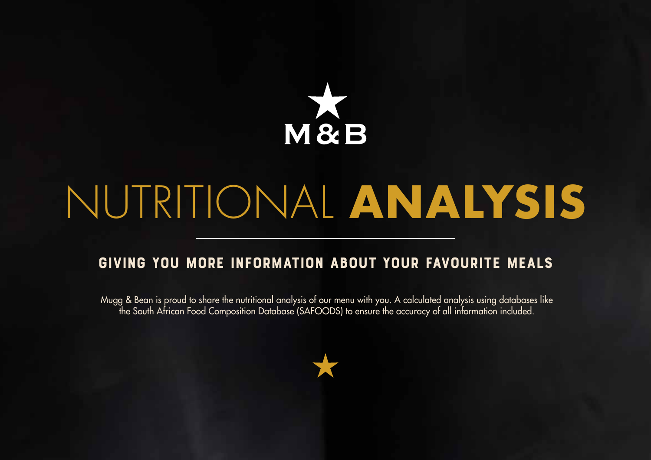

# NUTRITIONAL **ANALYSIS**

# GIVING YOU MORE INFORMATION ABOUT YOUR FAVOURITE MEALS

Mugg & Bean is proud to share the nutritional analysis of our menu with you. A calculated analysis using databases like the South African Food Composition Database (SAFOODS) to ensure the accuracy of all information included.

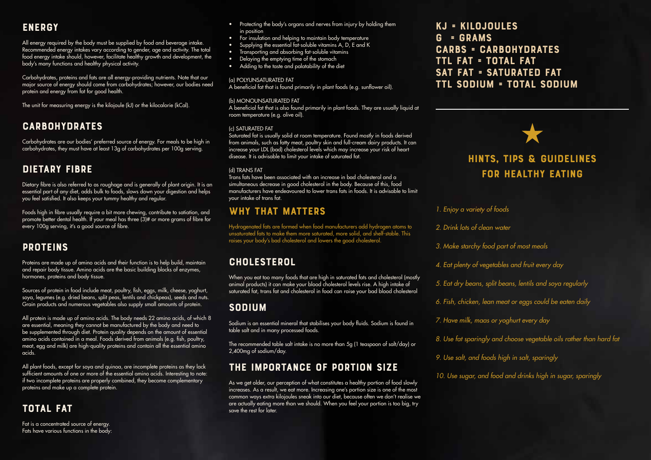## **ENERGY**

All energy required by the body must be supplied by food and beverage intake. Recommended energy intakes vary according to gender, age and activity. The total food energy intake should, however, facilitate healthy growth and development, the body's many functions and healthy physical activity.

Carbohydrates, proteins and fats are all energy-providing nutrients. Note that our major source of energy should come from carbohydrates; however, our bodies need protein and energy from fat for good health.

The unit for measuring energy is the kilojoule (kJ) or the kilocalorie (kCal).

### **CARBOHYDRATES**

Carbohydrates are our bodies' preferred source of energy. For meals to be high in carbohydrates, they must have at least 13g of carbohydrates per 100g serving.

## Dietary Fibre

Dietary fibre is also referred to as roughage and is generally of plant origin. It is an essential part of any diet, adds bulk to foods, slows down your digestion and helps you feel satisfied. It also keeps your tummy healthy and regular.

Foods high in fibre usually require a bit more chewing, contribute to satiation, and promote better dental health. If your meal has three (3)# or more grams of fibre for every 100g serving, it's a good source of fibre.

#### **PROTEINS**

Proteins are made up of amino acids and their function is to help build, maintain and repair body tissue. Amino acids are the basic building blocks of enzymes, hormones, proteins and body tissue.

Sources of protein in food include meat, poultry, fish, eggs, milk, cheese, yoghurt, soya, legumes (e.g. dried beans, split peas, lentils and chickpeas), seeds and nuts. Grain products and numerous vegetables also supply small amounts of protein.

All protein is made up of amino acids. The body needs 22 amino acids, of which 8 are essential, meaning they cannot be manufactured by the body and need to be supplemented through diet. Protein quality depends on the amount of essential amino acids contained in a meal. Foods derived from animals (e.g. fish, poultry, meat, egg and milk) are high-quality proteins and contain all the essential amino acids.

All plant foods, except for soya and quinoa, are incomplete proteins as they lack sufficient amounts of one or more of the essential amino acids. Interesting to note: if two incomplete proteins are properly combined, they become complementary proteins and make up a complete protein.

## Total Fat

Fat is a concentrated source of energy. Fats have various functions in the body:

- Protecting the body's organs and nerves from injury by holding them in position
- For insulation and helping to maintain body temperature
- Supplying the essential fat-soluble vitamins A, D, E and K • Transporting and absorbing fat-soluble vitamins
- Delaying the emptying time of the stomach
- Adding to the taste and palatability of the diet

#### (a) POLYUNSATURATED FAT

A beneficial fat that is found primarily in plant foods (e.g. sunflower oil).

#### (b) MONOUNSATURATED FAT

A beneficial fat that is also found primarily in plant foods. They are usually liquid at room temperature (e.g. olive oil).

#### (c) SATURATED FAT

Saturated fat is usually solid at room temperature. Found mostly in foods derived from animals, such as fatty meat, poultry skin and full-cream dairy products. It can increase your LDL (bad) cholesterol levels which may increase your risk of heart disease. It is advisable to limit your intake of saturated fat.

#### (d) TRANS FAT

Trans fats have been associated with an increase in bad cholesterol and a simultaneous decrease in good cholesterol in the body. Because of this, food manufacturers have endeavoured to lower trans fats in foods. It is advisable to limit your intake of trans fat.

### WHY THAT MATTERS

Hydrogenated fats are formed when food manufacturers add hydrogen atoms to unsaturated fats to make them more saturated, more solid, and shelf-stable. This raises your body's bad cholesterol and lowers the good cholesterol.

#### **CHOLESTEROL**

When you eat too many foods that are high in saturated fats and cholesterol (mostly animal products) it can make your blood cholesterol levels rise. A high intake of saturated fat, trans fat and cholesterol in food can raise your bad blood cholesterol

#### Sodium

Sodium is an essential mineral that stabilises your body fluids. Sodium is found in table salt and in many processed foods.

The recommended table salt intake is no more than 5g (1 teaspoon of salt/day) or 2,400mg of sodium/day.

### The Importance of Portion Size

As we get older, our perception of what constitutes a healthy portion of food slowly increases. As a result, we eat more. Increasing one's portion size is one of the most common ways extra kilojoules sneak into our diet, because often we don't realise we are actually eating more than we should. When you feel your portion is too big, try save the rest for later.

kJ = Kilojoules  $G = GRAMS$ Carbs = Carbohydrates Ttl fat = Total Fat SAT FAT = SATURATED FAT Ttl Sodium = Total Sodium



#### *1. Enjoy a variety of foods*

*2. Drink lots of clean water*

- *3. Make starchy food part of most meals*
- *4. Eat plenty of vegetables and fruit every day*
- *5. Eat dry beans, split beans, lentils and soya regularly*
- *6. Fish, chicken, lean meat or eggs could be eaten daily*
- *7. Have milk, maas or yoghurt every day*
- *8. Use fat sparingly and choose vegetable oils rather than hard fat*
- *9. Use salt, and foods high in salt, sparingly*
- *10. Use sugar, and food and drinks high in sugar, sparingly*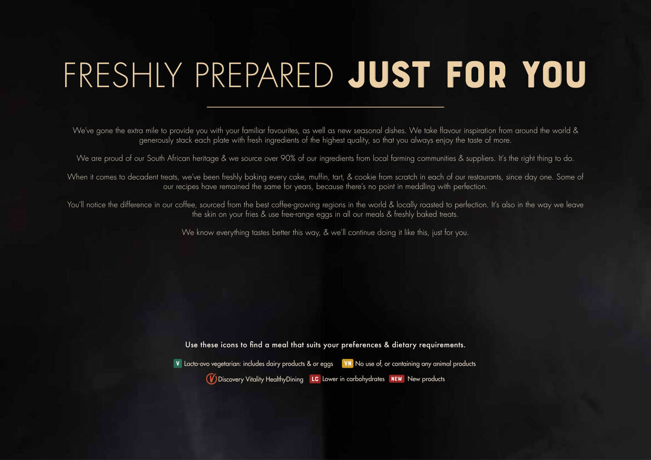# FRESHLY PREPARED JUST FOR YOU

We've gone the extra mile to provide you with your familiar favourites, as well as new seasonal dishes. We take flavour inspiration from around the world & generously stack each plate with fresh ingredients of the highest quality, so that you always enjoy the taste of more.

We are proud of our South African heritage & we source over 90% of our ingredients from local farming communities & suppliers. It's the right thing to do.

When it comes to decadent treats, we've been freshly baking every cake, muffin, tart, & cookie from scratch in each of our restaurants, since day one. Some of our recipes have remained the same for years, because there's no point in meddling with perfection.

You'll notice the difference in our coffee, sourced from the best coffee-growing regions in the world & locally roasted to perfection. It's also in the way we leave the skin on your fries & use free-range eggs in all our meals & freshly baked treats.

We know everything tastes better this way, & we'll continue doing it like this, just for you.

Use these icons to find a meal that suits your preferences & dietary requirements.

V Lacto-ovo vegetarian: includes dairy products & or eggs VN No use of, or containing any animal products **W** Discovery Vitality HealthyDining LC Lower in carbohydrates **NEW** New products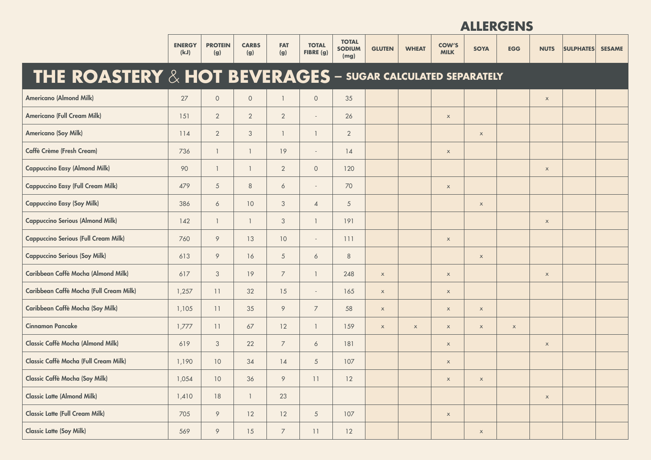|                                                                       | <b>ENERGY</b><br>(kJ) | <b>PROTEIN</b><br>(g) | <b>CARBS</b><br>(g) | <b>FAT</b><br>(g) | <b>TOTAL</b><br>FIBRE (g) | <b>TOTAL</b><br><b>SODIUM</b><br>(mg) | <b>GLUTEN</b> | <b>WHEAT</b> | <b>COW'S</b><br><b>MILK</b> | <b>SOYA</b> | <b>EGG</b>  | <b>NUTS</b> | <b>SULPHATES</b> | <b>SESAME</b> |
|-----------------------------------------------------------------------|-----------------------|-----------------------|---------------------|-------------------|---------------------------|---------------------------------------|---------------|--------------|-----------------------------|-------------|-------------|-------------|------------------|---------------|
| <b>THE ROASTERY &amp; HOT BEVERAGES - SUGAR CALCULATED SEPARATELY</b> |                       |                       |                     |                   |                           |                                       |               |              |                             |             |             |             |                  |               |
| <b>Americano (Almond Milk)</b>                                        | 27                    | $\circ$               | $\circ$             | $\mathbf{1}$      | $\circ$                   | 35                                    |               |              |                             |             |             | $\mathsf X$ |                  |               |
| <b>Americano (Full Cream Milk)</b>                                    | 151                   | $\overline{2}$        | $\overline{2}$      | $\overline{2}$    | $\overline{\phantom{a}}$  | 26                                    |               |              | $\mathsf X$                 |             |             |             |                  |               |
| <b>Americano (Soy Milk)</b>                                           | 114                   | $\overline{2}$        | 3                   | $\overline{1}$    | $\mathbf{1}$              | $\overline{2}$                        |               |              |                             | $\mathsf X$ |             |             |                  |               |
| <b>Caffè Crème (Fresh Cream)</b>                                      | 736                   | $\mathbf{1}$          | $\mathbf{1}$        | 19                | $\overline{\phantom{a}}$  | 14                                    |               |              | $\mathsf X$                 |             |             |             |                  |               |
| <b>Cappuccino Easy (Almond Milk)</b>                                  | 90                    | $\mathbf{1}$          | $\mathbf{1}$        | $\overline{2}$    | $\circ$                   | 120                                   |               |              |                             |             |             | $\mathsf X$ |                  |               |
| <b>Cappuccino Easy (Full Cream Milk)</b>                              | 479                   | 5                     | 8                   | 6                 | $\overline{\phantom{a}}$  | 70                                    |               |              | $\mathsf X$                 |             |             |             |                  |               |
| <b>Cappuccino Easy (Soy Milk)</b>                                     | 386                   | 6                     | 10                  | 3                 | $\overline{4}$            | $5\overline{)}$                       |               |              |                             | $\mathsf X$ |             |             |                  |               |
| <b>Cappuccino Serious (Almond Milk)</b>                               | 142                   | $\mathbf{1}$          | $\mathbf{1}$        | 3                 | $\mathbf{1}$              | 191                                   |               |              |                             |             |             | $\mathsf X$ |                  |               |
| <b>Cappuccino Serious (Full Cream Milk)</b>                           | 760                   | 9                     | 13                  | 10                | $\overline{\phantom{a}}$  | 111                                   |               |              | $\mathsf X$                 |             |             |             |                  |               |
| <b>Cappuccino Serious (Soy Milk)</b>                                  | 613                   | 9                     | 16                  | $5\overline{)}$   | 6                         | $8\phantom{1}$                        |               |              |                             | $\mathsf X$ |             |             |                  |               |
| Caribbean Caffè Mocha (Almond Milk)                                   | 617                   | 3                     | 19                  | $\overline{7}$    | $\mathbf{1}$              | 248                                   | $\mathsf X$   |              | $\mathsf X$                 |             |             | $\mathsf X$ |                  |               |
| Caribbean Caffè Mocha (Full Cream Milk)                               | 1,257                 | 11                    | 32                  | 15                | $\overline{\phantom{a}}$  | 165                                   | $\mathsf X$   |              | $\mathsf X$                 |             |             |             |                  |               |
| Caribbean Caffè Mocha (Soy Milk)                                      | 1,105                 | 11                    | 35                  | 9                 | $\overline{7}$            | 58                                    | $\mathsf X$   |              | $\mathsf X$                 | $\mathsf X$ |             |             |                  |               |
| <b>Cinnamon Pancake</b>                                               | 1,777                 | 11                    | 67                  | 12                | $\mathbf{1}$              | 159                                   | $\mathsf X$   | $\mathsf X$  | $\mathsf X$                 | $\mathsf X$ | $\mathsf X$ |             |                  |               |
| <b>Classic Caffè Mocha (Almond Milk)</b>                              | 619                   | 3                     | 22                  | $\overline{7}$    | 6                         | 181                                   |               |              | $\mathsf X$                 |             |             | $\mathsf X$ |                  |               |
| <b>Classic Caffè Mocha (Full Cream Milk)</b>                          | 1,190                 | 10                    | 34                  | 14                | $\overline{5}$            | 107                                   |               |              | $\mathsf X$                 |             |             |             |                  |               |
| <b>Classic Caffè Mocha (Soy Milk)</b>                                 | 1,054                 | 10                    | 36                  | 9                 | 11                        | 12                                    |               |              | $\mathsf X$                 | $\mathsf X$ |             |             |                  |               |
| <b>Classic Latte (Almond Milk)</b>                                    | 1,410                 | $18\,$                | $\mathbf{1}$        | 23                |                           |                                       |               |              |                             |             |             | $\mathsf x$ |                  |               |
| <b>Classic Latte (Full Cream Milk)</b>                                | 705                   | $\circ$               | 12                  | 12                | $\sqrt{5}$                | 107                                   |               |              | $\mathsf X$                 |             |             |             |                  |               |
| <b>Classic Latte (Soy Milk)</b>                                       | 569                   | 9                     | 15                  | $\overline{7}$    | $11\,$                    | 12                                    |               |              |                             | $\mathsf X$ |             |             |                  |               |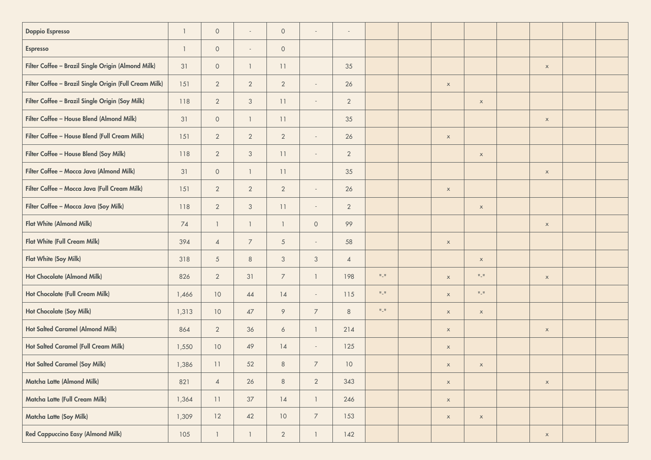| <b>Doppio Espresso</b>                                 | $\mathbf{1}$ | $\mathsf{O}\xspace$ | $\sim$         | $\circ$        | $\overline{\phantom{a}}$ | $\overline{\phantom{a}}$ |                       |                           |                       |             |  |
|--------------------------------------------------------|--------------|---------------------|----------------|----------------|--------------------------|--------------------------|-----------------------|---------------------------|-----------------------|-------------|--|
| Espresso                                               | $\mathbf{1}$ | $\mathsf{O}\xspace$ | $\sim$         | $\circ$        |                          |                          |                       |                           |                       |             |  |
| Filter Coffee - Brazil Single Origin (Almond Milk)     | 31           | $\circ$             | $\overline{1}$ | 11             |                          | 35                       |                       |                           |                       | $\mathsf X$ |  |
| Filter Coffee - Brazil Single Origin (Full Cream Milk) | 151          | $\overline{2}$      | $\overline{2}$ | $\overline{2}$ | $\overline{\phantom{a}}$ | 26                       |                       | $\mathsf X$               |                       |             |  |
| Filter Coffee - Brazil Single Origin (Soy Milk)        | 118          | $\overline{2}$      | $\sqrt{3}$     | 11             | $\overline{\phantom{a}}$ | $\overline{2}$           |                       |                           | $\mathsf X$           |             |  |
| Filter Coffee - House Blend (Almond Milk)              | 31           | $\mathsf{O}\xspace$ | $\mathbf{1}$   | 11             |                          | 35                       |                       |                           |                       | $\mathsf X$ |  |
| Filter Coffee - House Blend (Full Cream Milk)          | 151          | $\overline{2}$      | $\overline{2}$ | $\overline{2}$ | $\overline{\phantom{a}}$ | 26                       |                       | $\boldsymbol{\mathsf{X}}$ |                       |             |  |
| Filter Coffee - House Blend (Soy Milk)                 | 118          | $\overline{2}$      | $\sqrt{3}$     | 11             | $\overline{\phantom{a}}$ | $\overline{2}$           |                       |                           | $\mathsf X$           |             |  |
| Filter Coffee - Mocca Java (Almond Milk)               | 31           | $\circ$             | $\mathbf{1}$   | 11             |                          | 35                       |                       |                           |                       | $\mathsf X$ |  |
| Filter Coffee - Mocca Java (Full Cream Milk)           | 151          | $\overline{2}$      | $\overline{2}$ | $\overline{2}$ | $\overline{\phantom{a}}$ | 26                       |                       | $\mathsf X$               |                       |             |  |
| Filter Coffee - Mocca Java (Soy Milk)                  | 118          | $\overline{2}$      | $\mathcal{S}$  | 11             | $\overline{\phantom{a}}$ | $\overline{2}$           |                       |                           | $\mathsf X$           |             |  |
| <b>Flat White (Almond Milk)</b>                        | 74           | $\mathbf{1}$        | $\mathbf{1}$   | $\mathbf{1}$   | $\circ$                  | 99                       |                       |                           |                       | $\mathsf X$ |  |
| <b>Flat White (Full Cream Milk)</b>                    | 394          | $\overline{4}$      | $\overline{7}$ | $\mathfrak{S}$ | $\sim$                   | 58                       |                       | $\mathsf X$               |                       |             |  |
| <b>Flat White (Soy Milk)</b>                           | 318          | $\sqrt{5}$          | $\,8\,$        | $\sqrt{3}$     | $\mathfrak{Z}$           | $\overline{4}$           |                       |                           | $\mathsf X$           |             |  |
| Hot Chocolate (Almond Milk)                            | 826          | $\overline{2}$      | 31             | $\overline{7}$ | $\mathbf{1}$             | 198                      | $\Pi \sqsubseteq \Pi$ | $\mathsf X$               | $\Pi \sqsubseteq \Pi$ | $\mathsf X$ |  |
| Hot Chocolate (Full Cream Milk)                        | 1,466        | 10                  | 44             | 14             | $\overline{\phantom{a}}$ | 115                      | $\Pi \sqsubseteq \Pi$ | $\mathsf X$               | $\Pi \sqsubseteq \Pi$ |             |  |
| <b>Hot Chocolate (Soy Milk)</b>                        | 1,313        | 10                  | 47             | 9              | $\overline{7}$           | $8\phantom{1}$           | $\Pi \sqsubseteq \Pi$ | $\mathsf X$               | $\mathsf X$           |             |  |
| <b>Hot Salted Caramel (Almond Milk)</b>                | 864          | $\overline{2}$      | 36             | 6              | $\mathbf{1}$             | 214                      |                       | $\mathsf X$               |                       | $\mathsf X$ |  |
| <b>Hot Salted Caramel (Full Cream Milk)</b>            | 1,550        | 10                  | 49             | 14             | $\overline{\phantom{a}}$ | 125                      |                       | $\mathsf X$               |                       |             |  |
| <b>Hot Salted Caramel (Soy Milk)</b>                   | 1,386        | 11                  | 52             | $\,8\,$        | $\overline{7}$           | 10                       |                       | $\mathsf X$               | $\mathsf X$           |             |  |
| Matcha Latte (Almond Milk)                             | 821          | $\overline{4}$      | $26\,$         | $\,8\,$        | $\overline{2}$           | 343                      |                       | $\mathsf X$               |                       | $\mathsf x$ |  |
| Matcha Latte (Full Cream Milk)                         | 1,364        | 11                  | $37\,$         | 14             | $\mathbf{1}$             | 246                      |                       | $\mathsf X$               |                       |             |  |
| Matcha Latte (Soy Milk)                                | 1,309        | 12                  | 42             | 10             | $\overline{7}$           | 153                      |                       | $\mathsf X$               | $\mathsf X$           |             |  |
| <b>Red Cappuccino Easy (Almond Milk)</b>               | 105          | $\mathbf{1}$        | $\mathbf{1}$   | $\overline{2}$ | $\mathbf{1}$             | 142                      |                       |                           |                       | $\mathsf X$ |  |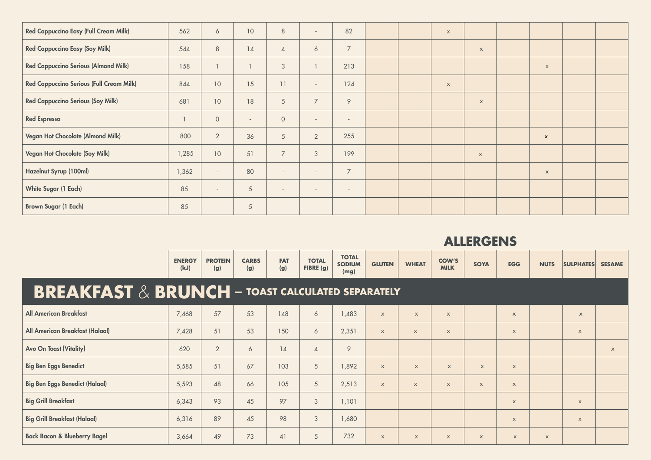| <b>Red Cappuccino Easy (Full Cream Milk)</b> | 562   | 6                        | 10 <sup>°</sup>          | $\,8\,$                  | $\sim$                   | 82             |  | $\mathsf{x}$              |              |                           |  |
|----------------------------------------------|-------|--------------------------|--------------------------|--------------------------|--------------------------|----------------|--|---------------------------|--------------|---------------------------|--|
| <b>Red Cappuccino Easy (Soy Milk)</b>        | 544   | $\,8\,$                  | 14                       | $\overline{4}$           | 6                        | $\overline{7}$ |  |                           | $\mathsf X$  |                           |  |
| <b>Red Cappuccino Serious (Almond Milk)</b>  | 158   |                          |                          | 3                        |                          | 213            |  |                           |              | $\boldsymbol{\mathsf{X}}$ |  |
| Red Cappuccino Serious (Full Cream Milk)     | 844   | 10                       | 15                       | 11                       | $\sim$                   | 124            |  | $\boldsymbol{\mathsf{X}}$ |              |                           |  |
| <b>Red Cappuccino Serious (Soy Milk)</b>     | 681   | 10                       | 18                       | $\overline{5}$           | $\overline{7}$           | 9              |  |                           | $\mathsf X$  |                           |  |
| <b>Red Espresso</b>                          |       | $\circ$                  | $\overline{\phantom{a}}$ | $\circ$                  | $\sim$                   | $\sim$         |  |                           |              |                           |  |
| Vegan Hot Chocolate (Almond Milk)            | 800   | $\overline{2}$           | 36                       | $\overline{5}$           | $\overline{2}$           | 255            |  |                           |              | $\mathsf{x}$              |  |
| Vegan Hot Chocolate (Soy Milk)               | 1,285 | 10                       | 51                       | $\overline{7}$           | $\mathcal{S}$            | 199            |  |                           | $\mathsf{x}$ |                           |  |
| Hazelnut Syrup (100ml)                       | 1,362 | $\sim$                   | 80                       | $\overline{\phantom{a}}$ | $\overline{\phantom{a}}$ | $\overline{7}$ |  |                           |              | $\times$                  |  |
| <b>White Sugar (1 Each)</b>                  | 85    | $\sim$                   | $\sqrt{5}$               | $\overline{\phantom{a}}$ | $\overline{\phantom{a}}$ | $\sim$         |  |                           |              |                           |  |
| <b>Brown Sugar (1 Each)</b>                  | 85    | $\overline{\phantom{a}}$ | $\sqrt{5}$               | $\overline{\phantom{a}}$ | $\overline{\phantom{a}}$ | $\sim$         |  |                           |              |                           |  |

|                                                                                                        | <b>ENERGY</b><br>(kJ) | <b>PROTEIN</b><br>(g) | <b>CARBS</b><br>(g) | <b>FAT</b><br>(g) | <b>TOTAL</b><br>FIBRE(g) | <b>TOTAL</b><br><b>SODIUM</b><br>(mg) | <b>GLUTEN</b>             | <b>WHEAT</b>              | <b>COW'S</b><br><b>MILK</b> | <b>SOYA</b>  | <b>EGG</b>                | <b>NUTS</b> | <b>SULPHATES</b>          | <b>SESAME</b> |
|--------------------------------------------------------------------------------------------------------|-----------------------|-----------------------|---------------------|-------------------|--------------------------|---------------------------------------|---------------------------|---------------------------|-----------------------------|--------------|---------------------------|-------------|---------------------------|---------------|
| $\mathbf{B}\mathbf{REAKFAST}\ \&\ \mathbf{BRUNCH}\ -\ \mathbf{TOAST\ CALCULATED}\ \mathbf{SEPARATELY}$ |                       |                       |                     |                   |                          |                                       |                           |                           |                             |              |                           |             |                           |               |
| <b>All American Breakfast</b>                                                                          | 7,468                 | 57                    | 53                  | 148               | 6                        | ,483                                  | $\boldsymbol{\mathsf{X}}$ | $\boldsymbol{\mathsf{X}}$ | $\mathsf X$                 |              | $\times$                  |             | $\boldsymbol{\mathsf{X}}$ |               |
| All American Breakfast (Halaal)                                                                        | 7,428                 | 51                    | 53                  | 150               | 6                        | 2,351                                 | $\boldsymbol{\mathsf{X}}$ | $\mathsf{x}$              | $\mathsf X$                 |              | $\times$                  |             | $\times$                  |               |
| <b>Avo On Toast [Vitality]</b>                                                                         | 620                   | $\overline{2}$        | 6                   | 14                | $\overline{4}$           | 9                                     |                           |                           |                             |              |                           |             |                           | $\times$      |
| <b>Big Ben Eggs Benedict</b>                                                                           | 5,585                 | 51                    | 67                  | 103               | 5                        | 892,                                  | $\boldsymbol{\mathsf{X}}$ | $\mathsf{x}$              | $\times$                    | $\mathsf{X}$ | $\times$                  |             |                           |               |
| <b>Big Ben Eggs Benedict (Halaal)</b>                                                                  | 5,593                 | 48                    | 66                  | 105               | 5                        | 2,513                                 | $\boldsymbol{\mathsf{X}}$ | $\mathsf{x}$              | $\mathsf X$                 | $\mathsf X$  | $\boldsymbol{\mathsf{X}}$ |             |                           |               |
| <b>Big Grill Breakfast</b>                                                                             | 6,343                 | 93                    | 45                  | 97                | 3                        | 1,101                                 |                           |                           |                             |              | $\times$                  |             | $\times$                  |               |
| <b>Big Grill Breakfast (Halaal)</b>                                                                    | 6,316                 | 89                    | 45                  | 98                | 3                        | 680,                                  |                           |                           |                             |              | $\times$                  |             | $\times$                  |               |
| <b>Back Bacon &amp; Blueberry Bagel</b>                                                                | 3,664                 | 49                    | 73                  | 41                | 5                        | 732                                   | $\boldsymbol{\mathsf{X}}$ | $\boldsymbol{\mathsf{x}}$ | $\times$                    | $\mathsf X$  | $\times$                  | $\mathsf X$ |                           |               |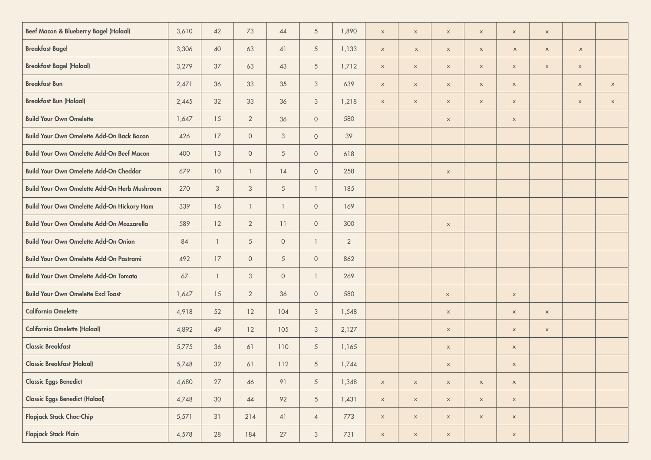| <b>Beef Macon &amp; Blueberry Bagel (Halaal)</b>    | 3,610 | 42              | 73              | 44                       | $\sqrt{5}$          | 1,890          | $\mathsf X$               | $\mathsf X$ | $\mathsf X$ | $\mathsf X$ | $\mathsf X$               | $\boldsymbol{\mathsf{X}}$ |             |                           |
|-----------------------------------------------------|-------|-----------------|-----------------|--------------------------|---------------------|----------------|---------------------------|-------------|-------------|-------------|---------------------------|---------------------------|-------------|---------------------------|
| <b>Breakfast Bagel</b>                              | 3,306 | 40              | 63              | 41                       | $\sqrt{5}$          | 1,133          | $\boldsymbol{\mathsf{X}}$ | $\mathsf X$ | $\mathsf X$ | $\mathsf X$ | $\boldsymbol{\mathsf{X}}$ | $\mathsf X$               | $\mathsf X$ |                           |
| <b>Breakfast Bagel (Halaal)</b>                     | 3,279 | 37              | 63              | 43                       | $\mathfrak{S}$      | 1,712          | $\mathsf X$               | $\mathsf X$ | $\mathsf X$ | $\mathsf X$ | $\mathsf X$               | $\mathsf X$               | $\mathsf X$ |                           |
| <b>Breakfast Bun</b>                                | 2,471 | 36              | 33              | 35                       | 3                   | 639            | $\boldsymbol{\mathsf{X}}$ | $\mathsf X$ | $\mathsf X$ | $\mathsf X$ | $\mathsf X$               |                           | $\mathsf X$ | $\boldsymbol{\mathsf{X}}$ |
| <b>Breakfast Bun (Halaal)</b>                       | 2,445 | 32              | 33              | 36                       | 3                   | 1,218          | $\boldsymbol{\mathsf{X}}$ | $\mathsf X$ | $\mathsf X$ | $\mathsf X$ | $\mathsf X$               |                           | $\mathsf X$ | $\boldsymbol{\mathsf{X}}$ |
| <b>Build Your Own Omelette</b>                      | 1,647 | 15              | $\overline{2}$  | 36                       | $\circ$             | 580            |                           |             | $\mathsf X$ |             | $\mathsf X$               |                           |             |                           |
| <b>Build Your Own Omelette Add-On Back Bacon</b>    | 426   | 17              | $\circ$         | $\mathcal{S}$            | $\circ$             | 39             |                           |             |             |             |                           |                           |             |                           |
| <b>Build Your Own Omelette Add-On Beef Macon</b>    | 400   | $13$            | $\circ$         | $\overline{5}$           | $\circ$             | 618            |                           |             |             |             |                           |                           |             |                           |
| <b>Build Your Own Omelette Add-On Cheddar</b>       | 679   | 10 <sup>°</sup> | $\mathbf{1}$    | $14$                     | $\circ$             | 258            |                           |             | $\mathsf X$ |             |                           |                           |             |                           |
| <b>Build Your Own Omelette Add-On Herb Mushroom</b> | 270   | $\sqrt{3}$      | $\mathfrak{Z}$  | $\overline{5}$           | $\mathbf{1}$        | 185            |                           |             |             |             |                           |                           |             |                           |
| <b>Build Your Own Omelette Add-On Hickory Ham</b>   | 339   | 16              | $\mathbf{1}$    | $\overline{\phantom{a}}$ | $\overline{0}$      | 169            |                           |             |             |             |                           |                           |             |                           |
| <b>Build Your Own Omelette Add-On Mozzarella</b>    | 589   | 12              | $\overline{2}$  | 11                       | $\circ$             | 300            |                           |             | $\mathsf X$ |             |                           |                           |             |                           |
| <b>Build Your Own Omelette Add-On Onion</b>         | 84    | $\overline{1}$  | $5\overline{)}$ | $\circ$                  | $\mathbf{1}$        | $\overline{2}$ |                           |             |             |             |                           |                           |             |                           |
| <b>Build Your Own Omelette Add-On Pastrami</b>      | 492   | 17              | $\circ$         | $\overline{5}$           | $\overline{0}$      | 862            |                           |             |             |             |                           |                           |             |                           |
| <b>Build Your Own Omelette Add-On Tomato</b>        | 67    | $\overline{1}$  | $\mathcal{S}$   | $\circ$                  | $\mathbf{1}$        | 269            |                           |             |             |             |                           |                           |             |                           |
| <b>Build Your Own Omelette Excl Toast</b>           | 1,647 | 15              | $\overline{2}$  | 36                       | $\mathsf{O}\xspace$ | 580            |                           |             | $\mathsf X$ |             | $\mathsf X$               |                           |             |                           |
| <b>California Omelette</b>                          | 4,918 | 52              | 12              | 104                      | $\mathfrak{Z}$      | 1,548          |                           |             | $\mathsf X$ |             | $\mathsf X$               | $\boldsymbol{\mathsf{x}}$ |             |                           |
| <b>California Omelette (Halaal)</b>                 | 4,892 | 49              | 12              | 105                      | $\mathfrak{Z}$      | 2,127          |                           |             | $\mathsf X$ |             | $\mathsf X$               | $\mathsf X$               |             |                           |
| <b>Classic Breakfast</b>                            | 5,775 | 36              | 61              | 110                      | $\sqrt{5}$          | 1,165          |                           |             | $\mathsf X$ |             | $\mathsf X$               |                           |             |                           |
| <b>Classic Breakfast (Halaal)</b>                   | 5,748 | 32              | 61              | 112                      | $\sqrt{5}$          | 1,744          |                           |             | $\mathsf X$ |             | $\mathsf X$               |                           |             |                           |
| <b>Classic Eggs Benedict</b>                        | 4,680 | $27\,$          | $46\,$          | 91                       | $\overline{5}$      | 1,348          | $\mathsf X$               | $\mathsf X$ | $\mathsf x$ | $\mathsf x$ | $\mathsf X$               |                           |             |                           |
| <b>Classic Eggs Benedict (Halaal)</b>               | 4,748 | 30              | $44$            | 92                       | $5\overline{)}$     | 1,431          | $\mathsf X$               | $\mathsf X$ | $\mathsf X$ | $\mathsf X$ | $\mathsf x$               |                           |             |                           |
| <b>Flapjack Stack Choc-Chip</b>                     | 5,571 | $31$            | 214             | 41                       | $\overline{4}$      | 773            | $\mathsf X$               | $\mathsf X$ | $\mathsf X$ | $\mathsf X$ | $\mathsf x$               |                           |             |                           |
| <b>Flapjack Stack Plain</b>                         | 4,578 | 28              | 184             | $27\,$                   | $\mathfrak{Z}$      | 731            | $\mathsf X$               | $\mathsf X$ | $\mathsf X$ |             | $\mathsf X$               |                           |             |                           |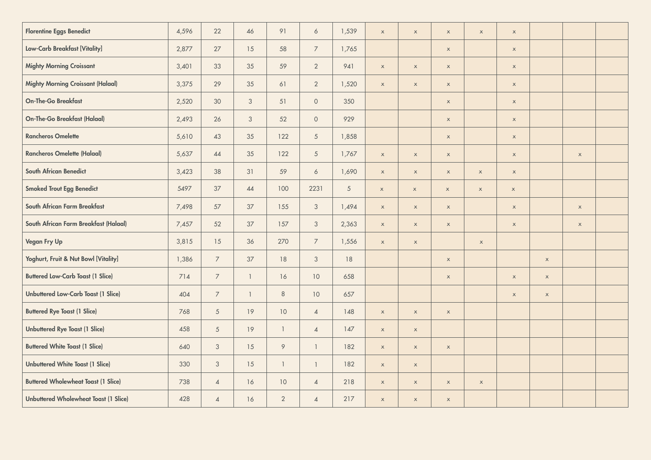| <b>Florentine Eggs Benedict</b>              | 4,596 | 22              | 46                       | 91             | $\ddot{\circ}$  | 1,539 | $\boldsymbol{\mathsf{X}}$ | $\mathsf X$               | $\mathsf X$ | $\mathsf X$ | $\mathsf X$               |             |                           |  |
|----------------------------------------------|-------|-----------------|--------------------------|----------------|-----------------|-------|---------------------------|---------------------------|-------------|-------------|---------------------------|-------------|---------------------------|--|
| Low-Carb Breakfast [Vitality]                | 2,877 | 27              | 15                       | 58             | $\overline{7}$  | 1,765 |                           |                           | $\mathsf X$ |             | $\mathsf X$               |             |                           |  |
| <b>Mighty Morning Croissant</b>              | 3,401 | 33              | 35                       | 59             | $\overline{2}$  | 941   | $\mathsf X$               | $\mathsf X$               | $\mathsf X$ |             | $\boldsymbol{\mathsf{X}}$ |             |                           |  |
| <b>Mighty Morning Croissant (Halaal)</b>     | 3,375 | 29              | 35                       | 61             | $\overline{2}$  | 1,520 | $\mathsf X$               | $\mathsf X$               | $\mathsf X$ |             | $\boldsymbol{\mathsf{X}}$ |             |                           |  |
| <b>On-The-Go Breakfast</b>                   | 2,520 | 30              | $\mathcal{S}$            | 51             | $\circ$         | 350   |                           |                           | $\mathsf X$ |             | $\boldsymbol{\mathsf{X}}$ |             |                           |  |
| <b>On-The-Go Breakfast (Halaal)</b>          | 2,493 | 26              | $\mathfrak{S}$           | 52             | $\circ$         | 929   |                           |                           | $\mathsf X$ |             | $\mathsf X$               |             |                           |  |
| <b>Rancheros Omelette</b>                    | 5,610 | 43              | 35                       | 122            | $\sqrt{5}$      | 1,858 |                           |                           | $\mathsf x$ |             | $\mathsf X$               |             |                           |  |
| <b>Rancheros Omelette (Halaal)</b>           | 5,637 | 44              | 35                       | 122            | $\overline{5}$  | 1,767 | $\mathsf X$               | $\mathsf X$               | $\mathsf X$ |             | $\boldsymbol{\mathsf{X}}$ |             | $\boldsymbol{\mathsf{x}}$ |  |
| <b>South African Benedict</b>                | 3,423 | 38              | 31                       | 59             | $\ddot{\circ}$  | 1,690 | $\boldsymbol{\mathsf{X}}$ | $\mathsf X$               | $\mathsf X$ | $\mathsf X$ | $\mathsf X$               |             |                           |  |
| <b>Smoked Trout Egg Benedict</b>             | 5497  | 37              | $44$                     | 100            | 2231            | 5     | $\mathsf X$               | $\mathsf X$               | $\mathsf X$ | $\mathsf X$ | $\boldsymbol{\mathsf{X}}$ |             |                           |  |
| South African Farm Breakfast                 | 7,498 | 57              | 37                       | 155            | $\mathfrak{Z}$  | 1,494 | $\boldsymbol{\mathsf{X}}$ | $\mathsf X$               | $\mathsf X$ |             | $\mathsf X$               |             | $\mathsf X$               |  |
| South African Farm Breakfast (Halaal)        | 7,457 | 52              | 37                       | 157            | $\mathfrak{Z}$  | 2,363 | $\mathsf X$               | $\mathsf X$               | $\mathsf X$ |             | $\mathsf X$               |             | $\boldsymbol{\mathsf{x}}$ |  |
| Vegan Fry Up                                 | 3,815 | 15              | 36                       | 270            | $\overline{7}$  | 1,556 | $\mathsf X$               | $\boldsymbol{\mathsf{X}}$ |             | $\mathsf X$ |                           |             |                           |  |
| Yoghurt, Fruit & Nut Bowl [Vitality]         | 1,386 | $\overline{7}$  | 37                       | 18             | $\mathcal{S}$   | 18    |                           |                           | $\mathsf X$ |             |                           | $\mathsf X$ |                           |  |
| <b>Buttered Low-Carb Toast (1 Slice)</b>     | 714   | $\overline{7}$  | $\mathbf{1}$             | 16             | 10 <sup>°</sup> | 658   |                           |                           | $\mathsf X$ |             | $\mathsf x$               | $\mathsf X$ |                           |  |
| <b>Unbuttered Low-Carb Toast (1 Slice)</b>   | 404   | $\overline{7}$  | $\overline{\phantom{a}}$ | $\,8\,$        | 10              | 657   |                           |                           |             |             | $\mathsf X$               | $\mathsf X$ |                           |  |
| <b>Buttered Rye Toast (1 Slice)</b>          | 768   | $\mathfrak{S}$  | 19                       | 10             | $\overline{4}$  | 148   | $\mathsf X$               | $\mathsf X$               | $\mathsf x$ |             |                           |             |                           |  |
| <b>Unbuttered Rye Toast (1 Slice)</b>        | 458   | $5\overline{)}$ | 19                       | $\overline{1}$ | $\overline{4}$  | 147   | $\mathsf X$               | $\mathsf X$               |             |             |                           |             |                           |  |
| <b>Buttered White Toast (1 Slice)</b>        | 640   | $\mathcal{S}$   | 15                       | $\circ$        | $\overline{1}$  | 182   | $\boldsymbol{\mathsf{X}}$ | $\mathsf X$               | $\mathsf X$ |             |                           |             |                           |  |
| <b>Unbuttered White Toast (1 Slice)</b>      | 330   | $\mathfrak{Z}$  | 15                       | $\overline{1}$ | $\overline{1}$  | 182   | $\mathsf X$               | $\boldsymbol{\mathsf{X}}$ |             |             |                           |             |                           |  |
| <b>Buttered Wholewheat Toast (1 Slice)</b>   | 738   | $\sqrt{4}$      | 16                       | 10             | $\overline{4}$  | 218   | $\mathsf X$               | $\mathsf X$               | $\mathsf X$ | $\mathsf X$ |                           |             |                           |  |
| <b>Unbuttered Wholewheat Toast (1 Slice)</b> | 428   | $\overline{4}$  | 16                       | $\overline{2}$ | $\overline{4}$  | 217   | $\mathsf{x}$              | $\mathsf{x}$              | $\mathsf X$ |             |                           |             |                           |  |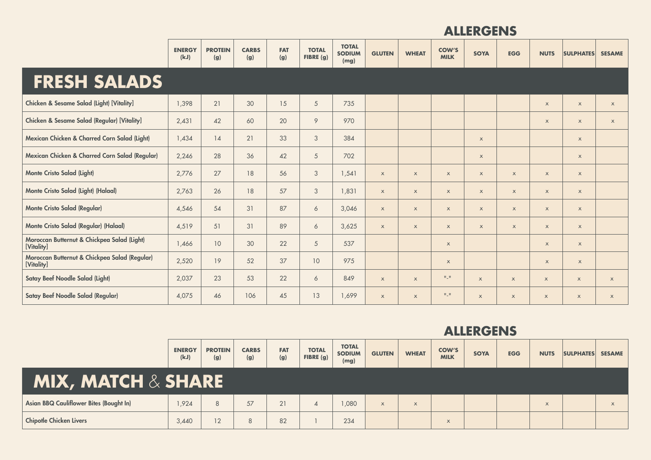|                                                             | <b>ENERGY</b><br>(kJ) | <b>PROTEIN</b><br>(g) | <b>CARBS</b><br>(g) | <b>FAT</b><br>(g) | <b>TOTAL</b><br>FIBRE (g) | <b>TOTAL</b><br><b>SODIUM</b><br>(mg) | <b>GLUTEN</b>             | <b>WHEAT</b>              | <b>COW'S</b><br><b>MILK</b> | <b>SOYA</b>  | <b>EGG</b>                | <b>NUTS</b>               | <b>SULPHATES</b>          | <b>SESAME</b>             |
|-------------------------------------------------------------|-----------------------|-----------------------|---------------------|-------------------|---------------------------|---------------------------------------|---------------------------|---------------------------|-----------------------------|--------------|---------------------------|---------------------------|---------------------------|---------------------------|
| <b>FRESH SALADS</b>                                         |                       |                       |                     |                   |                           |                                       |                           |                           |                             |              |                           |                           |                           |                           |
| Chicken & Sesame Salad (Light) [Vitality]                   | 1,398                 | 21                    | 30                  | 15                | 5                         | 735                                   |                           |                           |                             |              |                           | $\times$                  | $\boldsymbol{\mathsf{x}}$ | $\mathsf{x}$              |
| Chicken & Sesame Salad (Regular) [Vitality]                 | 2,431                 | 42                    | 60                  | 20                | 9                         | 970                                   |                           |                           |                             |              |                           | $\boldsymbol{\mathsf{X}}$ | $\boldsymbol{\mathsf{X}}$ | $\mathsf{x}$              |
| Mexican Chicken & Charred Corn Salad (Light)                | 1,434                 | 14                    | 21                  | 33                | $\sqrt{3}$                | 384                                   |                           |                           |                             | $\mathsf X$  |                           |                           | $\boldsymbol{\mathsf{X}}$ |                           |
| Mexican Chicken & Charred Corn Salad (Regular)              | 2,246                 | 28                    | 36                  | 42                | 5                         | 702                                   |                           |                           |                             | $\mathsf X$  |                           |                           | $\boldsymbol{\mathsf{X}}$ |                           |
| <b>Monte Cristo Salad (Light)</b>                           | 2,776                 | 27                    | 18                  | 56                | 3                         | 1,541                                 | $\boldsymbol{\mathsf{X}}$ | $\boldsymbol{\mathsf{X}}$ | $\mathsf{x}$                | $\mathsf X$  | $\mathsf X$               | $\boldsymbol{\mathsf{X}}$ | $\mathsf{x}$              |                           |
| Monte Cristo Salad (Light) (Halaal)                         | 2,763                 | 26                    | 18                  | 57                | 3                         | 1,831                                 | $\boldsymbol{\mathsf{X}}$ | $\boldsymbol{\mathsf{X}}$ | $\boldsymbol{\mathsf{X}}$   | $\mathsf X$  | $\mathsf X$               | $\boldsymbol{\mathsf{X}}$ | $\mathsf{x}$              |                           |
| <b>Monte Cristo Salad (Regular)</b>                         | 4,546                 | 54                    | 31                  | 87                | 6                         | 3,046                                 | $\boldsymbol{\mathsf{X}}$ | $\mathsf{x}$              | $\mathsf X$                 | $\mathsf X$  | $\mathsf{x}$              | $\mathsf X$               | $\mathsf{x}$              |                           |
| Monte Cristo Salad (Regular) (Halaal)                       | 4,519                 | 51                    | 31                  | 89                | 6                         | 3,625                                 | $\mathsf X$               | $\mathsf{x}$              | $\mathsf X$                 | $\mathsf X$  | $\mathsf X$               | $\mathsf X$               | $\mathsf{x}$              |                           |
| Moroccan Butternut & Chickpea Salad (Light)<br>[Vitality]   | 1,466                 | 10                    | 30                  | 22                | 5                         | 537                                   |                           |                           | $\mathsf X$                 |              |                           | $\boldsymbol{\mathsf{X}}$ | $\mathsf X$               |                           |
| Moroccan Butternut & Chickpea Salad (Regular)<br>[Vitality] | 2,520                 | 19                    | 52                  | 37                | 10 <sup>°</sup>           | 975                                   |                           |                           | $\boldsymbol{\mathsf{X}}$   |              |                           | $\boldsymbol{\mathsf{X}}$ | $\mathsf{x}$              |                           |
| Satay Beef Noodle Salad (Light)                             | 2,037                 | 23                    | 53                  | 22                | 6                         | 849                                   | $\times$                  | $\mathsf{x}$              | $\Pi \subseteq \Pi$         | $\mathsf{x}$ | $\mathsf X$               | $\boldsymbol{\mathsf{X}}$ | $\boldsymbol{\mathsf{X}}$ | $\boldsymbol{\mathsf{x}}$ |
| <b>Satay Beef Noodle Salad (Regular)</b>                    | 4,075                 | 46                    | 106                 | 45                | 13                        | 1,699                                 | $\boldsymbol{\mathsf{X}}$ | $\mathsf{x}$              | $\Pi \sqsubseteq \Pi$       | $\mathsf{x}$ | $\boldsymbol{\mathsf{x}}$ | $\times$                  | $\boldsymbol{\mathsf{X}}$ | $\boldsymbol{\mathsf{x}}$ |

|                                                | <b>ENERGY</b><br>(kJ) | <b>PROTEIN</b><br>(g) | <b>CARBS</b><br>(g) | <b>FAT</b><br>(g) | <b>TOTAL</b><br>FIBRE $(g)$ | <b>TOTAL</b><br><b>SODIUM</b><br>(mg) | <b>GLUTEN</b> | <b>WHEAT</b> | <b>COW'S</b><br><b>MILK</b> | <b>SOYA</b> | <b>EGG</b> | <b>NUTS</b> | <b>SULPHATES</b> | <b>SESAME</b> |
|------------------------------------------------|-----------------------|-----------------------|---------------------|-------------------|-----------------------------|---------------------------------------|---------------|--------------|-----------------------------|-------------|------------|-------------|------------------|---------------|
| $\mathbf{MIX}$ , MATCH $\&$ SHARE $\mathbf{N}$ |                       |                       |                     |                   |                             |                                       |               |              |                             |             |            |             |                  |               |
| Asian BBQ Cauliflower Bites (Bought In)        | 1,924                 | 8                     | 57                  | 21                |                             | ,080                                  | $\times$      | $\times$     |                             |             |            | $\times$    |                  | $\times$      |
| <b>Chipotle Chicken Livers</b>                 | 3.440                 | 12                    | 8                   | 82                |                             | 234                                   |               |              | $\times$                    |             |            |             |                  |               |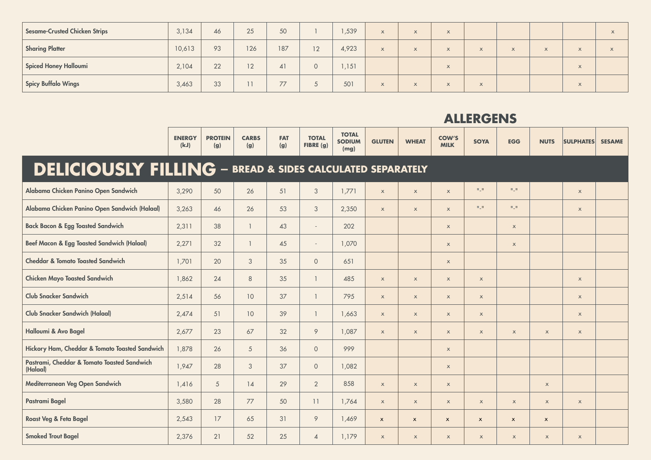| <b>Sesame-Crusted Chicken Strips</b> | 3,134  | 46 | 25  | 50  |         | ,539  | $\times$ | $\lambda$ | $\lambda$  |                             |           |                     |                             |  |
|--------------------------------------|--------|----|-----|-----|---------|-------|----------|-----------|------------|-----------------------------|-----------|---------------------|-----------------------------|--|
| <b>Sharing Platter</b>               | 10,613 | 93 | 126 | 187 | 12      | 4,923 | $\times$ | $\times$  | $\lambda$  | $\times$                    | $\lambda$ | $\overline{ }$<br>ᄉ | $\Lambda$                   |  |
| <b>Spiced Honey Halloumi</b>         | 2,104  | 22 | 12  | 41  | $\circ$ | 1,151 |          |           | $\sqrt{ }$ |                             |           |                     | $\overline{1}$<br>ᄎ         |  |
| <b>Spicy Buffalo Wings</b>           | 3,463  | 33 |     | 77  | ◡       | 501   | X        | $\Lambda$ | $\lambda$  | $\overline{a}$<br>$\Lambda$ |           |                     | $\overline{1}$<br>$\Lambda$ |  |

|                                                                      | <b>ENERGY</b><br>(kJ) | <b>PROTEIN</b><br>(g) | <b>CARBS</b><br>(g) | <b>FAT</b><br>(g) | <b>TOTAL</b><br>FIBRE (g) | <b>TOTAL</b><br><b>SODIUM</b><br>(mg) | <b>GLUTEN</b>             | <b>WHEAT</b> | <b>COW'S</b><br><b>MILK</b> | <b>SOYA</b>               | <b>EGG</b>                | <b>NUTS</b>               | <b>SULPHATES</b>          | <b>SESAME</b> |
|----------------------------------------------------------------------|-----------------------|-----------------------|---------------------|-------------------|---------------------------|---------------------------------------|---------------------------|--------------|-----------------------------|---------------------------|---------------------------|---------------------------|---------------------------|---------------|
| <b>DELICIOUSLY FILLING - BREAD &amp; SIDES CALCULATED SEPARATELY</b> |                       |                       |                     |                   |                           |                                       |                           |              |                             |                           |                           |                           |                           |               |
| Alabama Chicken Panino Open Sandwich                                 | 3,290                 | 50                    | 26                  | 51                | $\mathfrak{Z}$            | 1,771                                 | $\mathsf X$               | $\mathsf X$  | $\mathsf X$                 | $\Pi \subseteq \Pi$       | $\Pi \subseteq \Pi$       |                           | $\mathsf{x}$              |               |
| Alabama Chicken Panino Open Sandwich (Halaal)                        | 3,263                 | 46                    | 26                  | 53                | 3                         | 2,350                                 | $\boldsymbol{\mathsf{X}}$ | $\mathsf X$  | $\mathsf X$                 | $\Pi \subseteq \Pi$       | $\Pi \perp \Pi$           |                           | $\mathsf{x}$              |               |
| <b>Back Bacon &amp; Egg Toasted Sandwich</b>                         | 2,311                 | 38                    | $\overline{1}$      | 43                | $\sim$                    | 202                                   |                           |              | $\boldsymbol{\mathsf{X}}$   |                           | $\mathsf X$               |                           |                           |               |
| <b>Beef Macon &amp; Egg Toasted Sandwich (Halaal)</b>                | 2,271                 | 32                    | $\overline{1}$      | 45                | $\sim$                    | 1,070                                 |                           |              | $\mathsf X$                 |                           | $\mathsf X$               |                           |                           |               |
| <b>Cheddar &amp; Tomato Toasted Sandwich</b>                         | 1,701                 | 20                    | 3                   | 35                | $\overline{0}$            | 651                                   |                           |              | $\boldsymbol{\mathsf{X}}$   |                           |                           |                           |                           |               |
| <b>Chicken Mayo Toasted Sandwich</b>                                 | 1,862                 | 24                    | 8                   | 35                | $\mathbf{1}$              | 485                                   | $\mathsf X$               | $\mathsf X$  | $\mathsf X$                 | $\boldsymbol{\mathsf{X}}$ |                           |                           | $\mathsf X$               |               |
| <b>Club Snacker Sandwich</b>                                         | 2,514                 | 56                    | 10 <sup>°</sup>     | 37                | $\mathbf{1}$              | 795                                   | $\boldsymbol{\mathsf{X}}$ | $\mathsf X$  | $\times$                    | $\boldsymbol{\mathsf{X}}$ |                           |                           | $\boldsymbol{\mathsf{X}}$ |               |
| <b>Club Snacker Sandwich (Halaal)</b>                                | 2,474                 | 51                    | 10 <sup>°</sup>     | 39                | $\mathbf{1}$              | 1,663                                 | $\mathsf{x}$              | $\mathsf X$  | $\mathsf{x}$                | $\mathsf X$               |                           |                           | $\mathsf{x}$              |               |
| Halloumi & Avo Bagel                                                 | 2,677                 | 23                    | 67                  | 32                | $\circ$                   | 1,087                                 | $\mathsf X$               | $\mathsf X$  | $\mathsf X$                 | $\mathsf X$               | $\boldsymbol{\mathsf{X}}$ | $\boldsymbol{\mathsf{X}}$ | $\mathsf X$               |               |
| Hickory Ham, Cheddar & Tomato Toasted Sandwich                       | 1,878                 | 26                    | 5                   | 36                | $\circ$                   | 999                                   |                           |              | $\boldsymbol{\mathsf{X}}$   |                           |                           |                           |                           |               |
| Pastrami, Cheddar & Tomato Toasted Sandwich<br>(Halaal)              | 1,947                 | 28                    | 3                   | 37                | $\circ$                   | 1,082                                 |                           |              | $\mathsf X$                 |                           |                           |                           |                           |               |
| Mediterranean Veg Open Sandwich                                      | 1,416                 | $\overline{5}$        | 14                  | 29                | $\overline{2}$            | 858                                   | $\boldsymbol{\mathsf{X}}$ | $\mathsf X$  | $\boldsymbol{\mathsf{X}}$   |                           |                           | $\boldsymbol{\mathsf{X}}$ |                           |               |
| Pastrami Bagel                                                       | 3,580                 | 28                    | 77                  | 50                | 11                        | 1,764                                 | $\mathsf X$               | $\mathsf X$  | $\mathsf X$                 | $\mathsf X$               | $\mathsf X$               | $\boldsymbol{\mathsf{x}}$ | $\mathsf{x}$              |               |
| Roast Veg & Feta Bagel                                               | 2,543                 | 17                    | 65                  | 31                | 9                         | 1,469                                 | $\mathsf{x}$              | $\mathsf{x}$ | $\mathbf{x}$                | $\pmb{\mathsf{x}}$        | $\pmb{\times}$            | $\pmb{\times}$            |                           |               |
| <b>Smoked Trout Bagel</b>                                            | 2,376                 | 21                    | 52                  | 25                | $\overline{4}$            | 1,179                                 | $\boldsymbol{\mathsf{X}}$ | $\mathsf X$  | $\boldsymbol{\mathsf{X}}$   | $\boldsymbol{\mathsf{X}}$ | $\boldsymbol{\mathsf{X}}$ | $\boldsymbol{\mathsf{x}}$ | $\boldsymbol{\mathsf{X}}$ |               |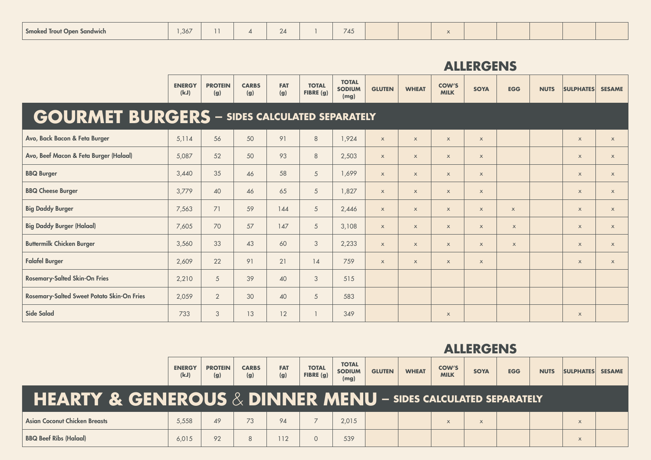| $\sim$<br>,367<br><b>Smoked Trout Open Sandwich</b><br>$\angle 4$<br>. . | 745 |  |  |
|--------------------------------------------------------------------------|-----|--|--|
|--------------------------------------------------------------------------|-----|--|--|

|                                                      | <b>ENERGY</b><br>(kJ) | <b>PROTEIN</b><br>(g) | <b>CARBS</b><br>(g) | <b>FAT</b><br>(g) | <b>TOTAL</b><br>FIBRE (g) | <b>TOTAL</b><br><b>SODIUM</b><br>(mg) | <b>GLUTEN</b> | <b>WHEAT</b> | <b>COW'S</b><br><b>MILK</b> | <b>SOYA</b>               | <b>EGG</b>                | <b>NUTS</b> | <b>SULPHATES</b> | <b>SESAME</b>             |
|------------------------------------------------------|-----------------------|-----------------------|---------------------|-------------------|---------------------------|---------------------------------------|---------------|--------------|-----------------------------|---------------------------|---------------------------|-------------|------------------|---------------------------|
| <b>GOURMET BURGERS</b> - SIDES CALCULATED SEPARATELY |                       |                       |                     |                   |                           |                                       |               |              |                             |                           |                           |             |                  |                           |
| Avo, Back Bacon & Feta Burger                        | 5,114                 | 56                    | 50                  | 91                | $8\,$                     | 1,924                                 | $\mathsf{x}$  | $\mathsf{x}$ | $\mathsf X$                 | $\mathsf{x}$              |                           |             | $\mathsf X$      | $\mathsf X$               |
| Avo, Beef Macon & Feta Burger (Halaal)               | 5,087                 | 52                    | 50                  | 93                | 8                         | 2,503                                 | $\mathsf{x}$  | $\mathsf{x}$ | $\mathsf{x}$                | $\mathsf{x}$              |                           |             | $\mathsf X$      | $\boldsymbol{\mathsf{X}}$ |
| <b>BBQ Burger</b>                                    | 3,440                 | 35                    | 46                  | 58                | 5                         | 1,699                                 | $\mathsf{x}$  | $\mathsf{x}$ | $\mathsf X$                 | $\mathsf X$               |                           |             | $\mathsf X$      | $\boldsymbol{\mathsf{X}}$ |
| <b>BBQ Cheese Burger</b>                             | 3,779                 | 40                    | 46                  | 65                | 5                         | 1,827                                 | $\mathsf{x}$  | $\mathsf{x}$ | $\mathsf{x}$                | $\mathsf{x}$              |                           |             | $\mathsf X$      | $\boldsymbol{\mathsf{X}}$ |
| <b>Big Daddy Burger</b>                              | 7,563                 | 71                    | 59                  | 144               | 5                         | 2,446                                 | $\mathsf{x}$  | $\mathsf{x}$ | $\mathsf X$                 | $\mathsf{x}$              | $\mathsf X$               |             | $\mathsf X$      | $\boldsymbol{\mathsf{X}}$ |
| <b>Big Daddy Burger (Halaal)</b>                     | 7,605                 | 70                    | 57                  | 147               | 5                         | 3,108                                 | $\mathsf{x}$  | $\mathsf{x}$ | $\mathsf X$                 | $\boldsymbol{\mathsf{X}}$ | $\boldsymbol{\mathsf{x}}$ |             | $\mathsf X$      | $\mathsf X$               |
| <b>Buttermilk Chicken Burger</b>                     | 3,560                 | 33                    | 43                  | 60                | 3                         | 2,233                                 | $\mathsf{x}$  | $\mathsf{x}$ | $\mathsf{x}$                | $\mathsf{x}$              | $\mathsf{x}$              |             | $\mathsf X$      | $\boldsymbol{\mathsf{X}}$ |
| <b>Falafel Burger</b>                                | 2,609                 | 22                    | 91                  | 21                | 14                        | 759                                   | $\mathsf{x}$  | $\mathsf{x}$ | $\mathsf{x}$                | $\mathsf X$               |                           |             | $\mathsf X$      | $\boldsymbol{\mathsf{X}}$ |
| <b>Rosemary-Salted Skin-On Fries</b>                 | 2,210                 | 5                     | 39                  | 40                | $\mathfrak{S}$            | 515                                   |               |              |                             |                           |                           |             |                  |                           |
| <b>Rosemary-Salted Sweet Potato Skin-On Fries</b>    | 2,059                 | $\overline{2}$        | 30                  | 40                | 5                         | 583                                   |               |              |                             |                           |                           |             |                  |                           |
| Side Salad                                           | 733                   | 3                     | 13                  | 12                |                           | 349                                   |               |              | $\mathsf X$                 |                           |                           |             | $\mathsf X$      |                           |

|                                                                                            | <b>ENERGY</b><br>(kJ) | <b>PROTEIN</b><br>(g) | <b>CARBS</b><br>(g) | <b>FAT</b><br>(g) | <b>TOTAL</b><br>FIBRE $(g)$ | <b>TOTAL</b><br><b>SODIUM</b><br>(mg) | <b>GLUTEN</b> | <b>WHEAT</b> | <b>COW'S</b><br><b>MILK</b> | <b>SOYA</b> | <b>EGG</b> | <b>NUTS</b> | <b>SULPHATES</b> | <b>SESAME</b> |
|--------------------------------------------------------------------------------------------|-----------------------|-----------------------|---------------------|-------------------|-----------------------------|---------------------------------------|---------------|--------------|-----------------------------|-------------|------------|-------------|------------------|---------------|
| <b>HEARTY &amp; GENEROUS <math>\&amp;</math> DINNER MENU – SIDES CALCULATED SEPARATELY</b> |                       |                       |                     |                   |                             |                                       |               |              |                             |             |            |             |                  |               |
| <b>Asian Coconut Chicken Breasts</b>                                                       | 5.558                 | 49                    | 73                  | 94                |                             | 2,015                                 |               |              | $\mathsf{x}$                | $\times$    |            |             | $\times$         |               |
| <b>BBQ Beef Ribs (Halaal)</b>                                                              | 6,015                 | 92                    |                     | 12                |                             | 539                                   |               |              |                             |             |            |             | $\times$         |               |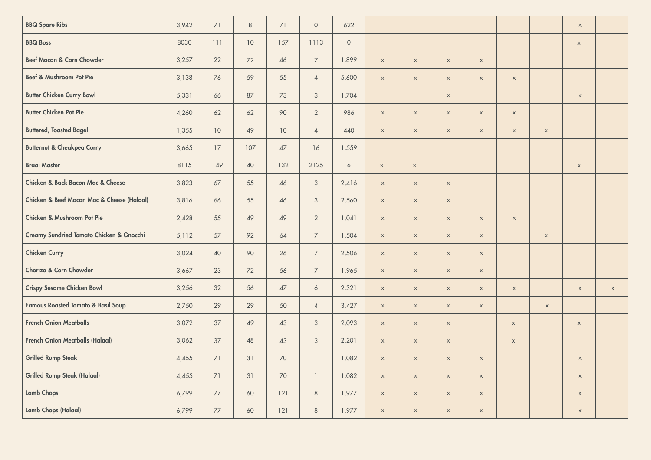| <b>BBQ Spare Ribs</b>                                     | 3,942 | 71   | $\,8\,$ | 71              | $\circ$        | 622              |             |                           |                           |                           |                           |                           | $\boldsymbol{\mathsf{x}}$ |                           |
|-----------------------------------------------------------|-------|------|---------|-----------------|----------------|------------------|-------------|---------------------------|---------------------------|---------------------------|---------------------------|---------------------------|---------------------------|---------------------------|
| <b>BBQ Boss</b>                                           | 8030  | 111  | 10      | 157             | 1113           | $\circ$          |             |                           |                           |                           |                           |                           | $\mathsf X$               |                           |
| <b>Beef Macon &amp; Corn Chowder</b>                      | 3,257 | 22   | 72      | 46              | $\overline{7}$ | 1,899            | $\mathsf X$ | $\mathsf X$               | $\mathsf X$               | $\mathsf X$               |                           |                           |                           |                           |
| Beef & Mushroom Pot Pie                                   | 3,138 | 76   | 59      | 55              | $\overline{4}$ | 5,600            | $\mathsf X$ | $\mathsf X$               | $\mathsf X$               | $\mathsf X$               | $\mathsf X$               |                           |                           |                           |
| <b>Butter Chicken Curry Bowl</b>                          | 5,331 | 66   | 87      | 73              | $\mathfrak{Z}$ | 1,704            |             |                           | $\boldsymbol{\mathsf{X}}$ |                           |                           |                           | $\boldsymbol{\mathsf{x}}$ |                           |
| <b>Butter Chicken Pot Pie</b>                             | 4,260 | 62   | 62      | 90              | $\overline{2}$ | 986              | $\mathsf X$ | $\mathsf X$               | $\mathsf X$               | $\mathsf X$               | $\mathsf X$               |                           |                           |                           |
| <b>Buttered, Toasted Bagel</b>                            | 1,355 | 10   | 49      | 10 <sup>°</sup> | $\overline{4}$ | 440              | $\mathsf X$ | $\mathsf X$               | $\mathsf X$               | $\boldsymbol{\mathsf{x}}$ | $\boldsymbol{\mathsf{X}}$ | $\mathsf X$               |                           |                           |
| <b>Butternut &amp; Cheakpea Curry</b>                     | 3,665 | 17   | 107     | 47              | 16             | 1,559            |             |                           |                           |                           |                           |                           |                           |                           |
| <b>Braai Master</b>                                       | 8115  | 149  | 40      | 132             | 2125           | $\boldsymbol{6}$ | $\mathsf X$ | $\mathsf X$               |                           |                           |                           |                           | $\boldsymbol{\mathsf{x}}$ |                           |
| Chicken & Back Bacon Mac & Cheese                         | 3,823 | 67   | 55      | 46              | $\mathfrak{Z}$ | 2,416            | $\mathsf X$ | $\boldsymbol{\mathsf{X}}$ | $\mathsf X$               |                           |                           |                           |                           |                           |
| <b>Chicken &amp; Beef Macon Mac &amp; Cheese (Halaal)</b> | 3,816 | 66   | 55      | 46              | $\mathcal{S}$  | 2,560            | $\mathsf X$ | $\mathsf X$               | $\mathsf X$               |                           |                           |                           |                           |                           |
| <b>Chicken &amp; Mushroom Pot Pie</b>                     | 2,428 | 55   | 49      | 49              | $\overline{2}$ | 1,041            | $\mathsf X$ | $\mathsf X$               | $\mathsf X$               | $\mathsf X$               | $\mathsf X$               |                           |                           |                           |
| <b>Creamy Sundried Tomato Chicken &amp; Gnocchi</b>       | 5,112 | 57   | 92      | 64              | $\overline{7}$ | 1,504            | $\mathsf X$ | $\mathsf X$               | $\mathsf{x}$              | $\boldsymbol{\mathsf{x}}$ |                           | $\boldsymbol{\mathsf{x}}$ |                           |                           |
| <b>Chicken Curry</b>                                      | 3,024 | 40   | 90      | 26              | $\overline{7}$ | 2,506            | $\mathsf X$ | $\boldsymbol{\mathsf{X}}$ | $\mathsf X$               | $\mathsf X$               |                           |                           |                           |                           |
| Chorizo & Corn Chowder                                    | 3,667 | 23   | 72      | 56              | $\overline{7}$ | 1,965            | $\mathsf X$ | $\mathsf X$               | $\mathsf X$               | $\boldsymbol{\mathsf{x}}$ |                           |                           |                           |                           |
| <b>Crispy Sesame Chicken Bowl</b>                         | 3,256 | 32   | 56      | 47              | $\ddot{\circ}$ | 2,321            | $\mathsf X$ | $\mathsf X$               | $\mathsf X$               | $\mathsf X$               | $\mathsf X$               |                           | $\mathsf X$               | $\boldsymbol{\mathsf{x}}$ |
| <b>Famous Roasted Tomato &amp; Basil Soup</b>             | 2,750 | 29   | 29      | 50              | $\overline{4}$ | 3,427            | $\mathsf X$ | $\mathsf X$               | $\mathsf{x}$              | $\boldsymbol{\mathsf{x}}$ |                           | $\boldsymbol{\mathsf{x}}$ |                           |                           |
| <b>French Onion Meatballs</b>                             | 3,072 | 37   | 49      | 43              | $\mathfrak{Z}$ | 2,093            | $\mathsf X$ | $\boldsymbol{\mathsf{X}}$ | $\mathsf X$               |                           | $\boldsymbol{\mathsf{x}}$ |                           | $\mathsf X$               |                           |
| <b>French Onion Meatballs (Halaal)</b>                    | 3,062 | 37   | 48      | 43              | $\mathcal{S}$  | 2,201            | $\mathsf X$ | $\mathsf X$               | $\mathsf x$               |                           | $\mathsf X$               |                           |                           |                           |
| <b>Grilled Rump Steak</b>                                 | 4,455 | 71   | 31      | 70              | $\overline{1}$ | 1,082            | $\mathsf X$ | $\mathsf X$               | $\mathsf X$               | $\boldsymbol{\mathsf{X}}$ |                           |                           | $\mathsf X$               |                           |
| <b>Grilled Rump Steak (Halaal)</b>                        | 4,455 | 71   | 31      | 70              | $\mathbf{1}$   | 1,082            | $\mathsf X$ | $\mathsf X$               | $\mathsf X$               | $\boldsymbol{\mathsf{x}}$ |                           |                           | $\mathsf X$               |                           |
| <b>Lamb Chops</b>                                         | 6,799 | 77   | 60      | 121             | $\,8\,$        | 1,977            | $\mathsf X$ | $\mathsf X$               | $\mathsf X$               | $\mathsf X$               |                           |                           | $\boldsymbol{\mathsf{X}}$ |                           |
| <b>Lamb Chops (Halaal)</b>                                | 6,799 | $77$ | 60      | 121             | $\,8\,$        | 1,977            | $\mathsf X$ | $\mathsf X$               | $\mathsf X$               | $\boldsymbol{\mathsf{x}}$ |                           |                           | $\boldsymbol{\mathsf{X}}$ |                           |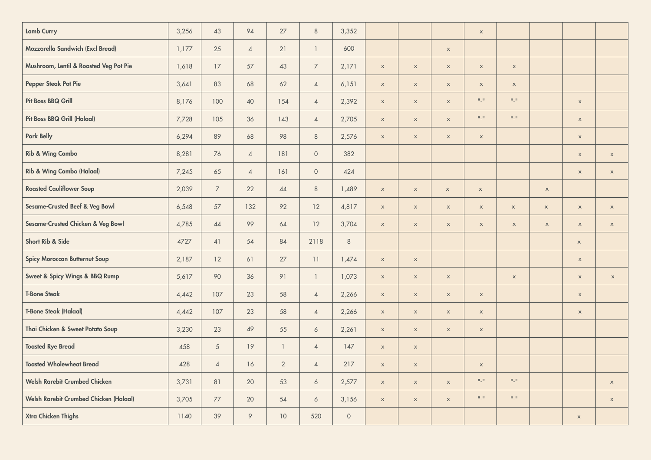| <b>Lamb Curry</b>                             | 3,256 | 43              | 94             | 27              | $\,8\,$          | 3,352   |                           |                           |                           | $\mathsf X$         |                                  |             |             |                           |
|-----------------------------------------------|-------|-----------------|----------------|-----------------|------------------|---------|---------------------------|---------------------------|---------------------------|---------------------|----------------------------------|-------------|-------------|---------------------------|
| Mozzarella Sandwich (Excl Bread)              | 1,177 | 25              | $\overline{4}$ | 21              | $\overline{1}$   | 600     |                           |                           | $\mathsf X$               |                     |                                  |             |             |                           |
| Mushroom, Lentil & Roasted Veg Pot Pie        | 1,618 | 17              | 57             | 43              | $\overline{7}$   | 2,171   | $\mathsf X$               | $\mathsf X$               | $\mathsf X$               | $\mathsf X$         | $\mathsf X$                      |             |             |                           |
| <b>Pepper Steak Pot Pie</b>                   | 3,641 | 83              | 68             | 62              | $\overline{4}$   | 6,151   | $\boldsymbol{\mathsf{X}}$ | $\boldsymbol{\mathsf{X}}$ | $\mathsf X$               | $\mathsf X$         | $\mathsf X$                      |             |             |                           |
| <b>Pit Boss BBQ Grill</b>                     | 8,176 | 100             | 40             | 154             | $\overline{4}$   | 2,392   | $\mathsf X$               | $\mathsf X$               | $\mathsf X$               | $\Pi \subseteq \Pi$ | $\mathbf{0}\downarrow\mathbf{0}$ |             | $\mathsf x$ |                           |
| <b>Pit Boss BBQ Grill (Halaal)</b>            | 7,728 | 105             | 36             | 143             | $\overline{4}$   | 2,705   | $\boldsymbol{\mathsf{X}}$ | $\boldsymbol{\mathsf{X}}$ | $\mathsf X$               | $\Pi \subseteq \Pi$ | $\Pi \subseteq \Pi$              |             | $\mathsf X$ |                           |
| <b>Pork Belly</b>                             | 6,294 | 89              | 68             | 98              | $\,8\,$          | 2,576   | $\mathsf X$               | $\mathsf X$               | $\mathsf X$               | $\mathsf X$         |                                  |             | $\mathsf X$ |                           |
| <b>Rib &amp; Wing Combo</b>                   | 8,281 | 76              | $\sqrt{4}$     | 181             | $\circ$          | 382     |                           |                           |                           |                     |                                  |             | $\mathsf X$ | $\mathsf X$               |
| <b>Rib &amp; Wing Combo (Halaal)</b>          | 7,245 | 65              | $\overline{4}$ | 161             | $\circ$          | 424     |                           |                           |                           |                     |                                  |             | $\mathsf X$ | $\mathsf X$               |
| <b>Roasted Cauliflower Soup</b>               | 2,039 | $\overline{7}$  | 22             | 44              | $\,8\,$          | 1,489   | $\mathsf X$               | $\mathsf X$               | $\mathsf X$               | $\mathsf X$         |                                  | $\mathsf X$ |             |                           |
| Sesame-Crusted Beef & Veg Bowl                | 6,548 | 57              | 132            | 92              | 12               | 4,817   | $\mathsf X$               | $\mathsf X$               | $\mathsf X$               | $\mathsf X$         | $\mathsf X$                      | $\mathsf X$ | $\mathsf X$ | $\mathsf x$               |
| Sesame-Crusted Chicken & Veg Bowl             | 4,785 | 44              | 99             | 64              | 12               | 3,704   | $\boldsymbol{\mathsf{x}}$ | $\boldsymbol{\mathsf{X}}$ | $\mathsf X$               | $\mathsf X$         | $\mathsf X$                      | $\mathsf X$ | $\mathsf X$ | $\mathsf X$               |
| Short Rib & Side                              | 4727  | 41              | 54             | 84              | 2118             | $\,8\,$ |                           |                           |                           |                     |                                  |             | $\mathsf X$ |                           |
| <b>Spicy Moroccan Butternut Soup</b>          | 2,187 | 12              | 61             | 27              | $11\,$           | 1,474   | $\mathsf{x}$              | $\mathsf X$               |                           |                     |                                  |             | $\mathsf X$ |                           |
| Sweet & Spicy Wings & BBQ Rump                | 5,617 | 90              | 36             | 91              | $\mathbf{1}$     | 1,073   | $\mathsf X$               | $\mathsf X$               | $\mathsf X$               |                     | $\mathsf X$                      |             | $\mathsf X$ | $\boldsymbol{\mathsf{x}}$ |
| <b>T-Bone Steak</b>                           | 4,442 | 107             | 23             | 58              | $\overline{4}$   | 2,266   | $\mathsf X$               | $\mathsf X$               | $\mathsf X$               | $\mathsf{x}$        |                                  |             | $\mathsf X$ |                           |
| <b>T-Bone Steak (Halaal)</b>                  | 4,442 | 107             | 23             | 58              | $\overline{4}$   | 2,266   | $\mathsf X$               | $\mathsf X$               | $\mathsf X$               | $\mathsf X$         |                                  |             | $\mathsf X$ |                           |
| Thai Chicken & Sweet Potato Soup              | 3,230 | 23              | 49             | 55              | $\ddot{\circ}$   | 2,261   | $\boldsymbol{\mathsf{x}}$ | $\boldsymbol{\mathsf{X}}$ | $\mathsf X$               | $\mathsf X$         |                                  |             |             |                           |
| <b>Toasted Rye Bread</b>                      | 458   | $5\overline{)}$ | 19             | $\mathbf{1}$    | $\overline{4}$   | 147     | $\mathsf X$               | $\mathsf X$               |                           |                     |                                  |             |             |                           |
| <b>Toasted Wholewheat Bread</b>               | 428   | $\overline{4}$  | 16             | $\overline{2}$  | $\overline{4}$   | 217     | $\boldsymbol{\mathsf{x}}$ | $\boldsymbol{\mathsf{X}}$ |                           | $\mathsf X$         |                                  |             |             |                           |
| <b>Welsh Rarebit Crumbed Chicken</b>          | 3,731 | 81              | 20             | 53              | $\ddot{\circ}$   | 2,577   | $\boldsymbol{\mathsf{X}}$ | $\boldsymbol{\mathsf{X}}$ | $\mathsf X$               | $\Pi \subseteq \Pi$ | $\Pi \subseteq \Pi$              |             |             | $\mathsf X$               |
| <b>Welsh Rarebit Crumbed Chicken (Halaal)</b> | 3,705 | $77$            | 20             | 54              | $\acute{\rm{o}}$ | 3,156   | $\mathsf X$               | $\mathsf X$               | $\boldsymbol{\mathsf{X}}$ | $\Pi \subseteq \Pi$ | $\Pi \subseteq \Pi$              |             |             | $\mathsf X$               |
| Xtra Chicken Thighs                           | 1140  | 39              | 9              | 10 <sup>°</sup> | 520              | $\circ$ |                           |                           |                           |                     |                                  |             | $\mathsf X$ |                           |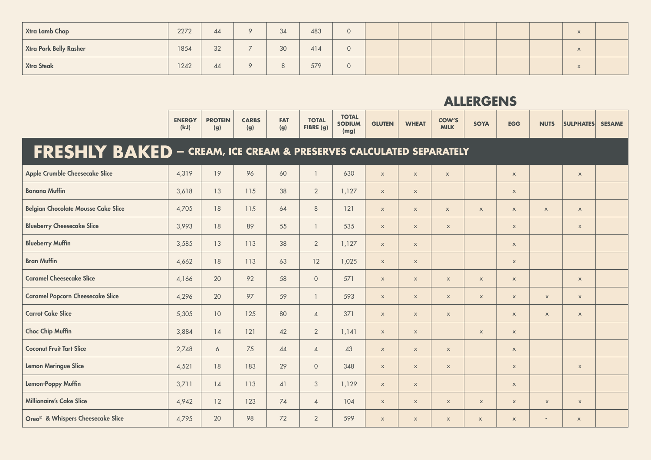| Xtra Lamb Chop                | 2272 | 44 | $\circ$       | 34 | 483 | 0        |  |  | $\overline{1}$<br>$\Lambda$ |  |
|-------------------------------|------|----|---------------|----|-----|----------|--|--|-----------------------------|--|
| <b>Xtra Pork Belly Rasher</b> | 1854 | 32 | $\rightarrow$ | 30 | 414 | 0        |  |  | $\overline{1}$<br>$\Lambda$ |  |
| <b>Xtra Steak</b>             | 1242 | 44 | $\circ$       | 8  | 579 | $\Omega$ |  |  | $\overline{1}$<br>$\Lambda$ |  |

|                                                                           | <b>ENERGY</b><br>(kJ) | <b>PROTEIN</b><br>(g) | <b>CARBS</b><br>(g) | <b>FAT</b><br>(g) | <b>TOTAL</b><br>FIBRE (g) | <b>TOTAL</b><br><b>SODIUM</b><br>(mg) | <b>GLUTEN</b>             | <b>WHEAT</b>              | <b>COW'S</b><br><b>MILK</b> | <b>SOYA</b>               | <b>EGG</b>                | <b>NUTS</b>  | <b>SULPHATES</b>          | <b>SESAME</b> |
|---------------------------------------------------------------------------|-----------------------|-----------------------|---------------------|-------------------|---------------------------|---------------------------------------|---------------------------|---------------------------|-----------------------------|---------------------------|---------------------------|--------------|---------------------------|---------------|
| <b>FRESHLY BAKED</b> - CREAM, ICE CREAM & PRESERVES CALCULATED SEPARATELY |                       |                       |                     |                   |                           |                                       |                           |                           |                             |                           |                           |              |                           |               |
| <b>Apple Crumble Cheesecake Slice</b>                                     | 4,319                 | 19                    | 96                  | 60                | $\mathbf{1}$              | 630                                   | $\mathsf X$               | $\mathsf X$               | $\mathsf X$                 |                           | $\boldsymbol{\mathsf{X}}$ |              | $\mathsf X$               |               |
| <b>Banana Muffin</b>                                                      | 3,618                 | 13                    | 115                 | 38                | $\overline{2}$            | 1,127                                 | $\mathsf X$               | $\mathsf{x}$              |                             |                           | $\times$                  |              |                           |               |
| <b>Belgian Chocolate Mousse Cake Slice</b>                                | 4,705                 | 18                    | 115                 | 64                | $\,8\,$                   | 121                                   | $\mathsf X$               | $\boldsymbol{\mathsf{X}}$ | $\mathsf X$                 | $\mathsf X$               | $\mathsf X$               | $\mathsf X$  | $\mathsf{x}$              |               |
| <b>Blueberry Cheesecake Slice</b>                                         | 3,993                 | 18                    | 89                  | 55                | $\mathbf{1}$              | 535                                   | $\mathsf X$               | $\mathsf{x}$              | $\mathsf X$                 |                           | $\boldsymbol{\mathsf{X}}$ |              | $\mathsf X$               |               |
| <b>Blueberry Muffin</b>                                                   | 3,585                 | 13                    | 113                 | 38                | $\overline{2}$            | 1,127                                 | $\mathsf{x}$              | $\mathsf{x}$              |                             |                           | $\boldsymbol{\mathsf{X}}$ |              |                           |               |
| <b>Bran Muffin</b>                                                        | 4,662                 | 18                    | 113                 | 63                | 12                        | 1,025                                 | $\mathsf{x}$              | $\mathsf{x}$              |                             |                           | $\boldsymbol{\mathsf{X}}$ |              |                           |               |
| <b>Caramel Cheesecake Slice</b>                                           | 4,166                 | 20                    | 92                  | 58                | $\circ$                   | 571                                   | $\boldsymbol{\mathsf{X}}$ | $\boldsymbol{\mathsf{X}}$ | $\mathsf X$                 | $\mathsf X$               | $\mathsf X$               |              | $\mathsf X$               |               |
| <b>Caramel Popcorn Cheesecake Slice</b>                                   | 4,296                 | 20                    | 97                  | 59                | $\mathbf{1}$              | 593                                   | $\mathsf X$               | $\mathsf{x}$              | $\mathsf{x}$                | $\mathsf X$               | $\boldsymbol{\mathsf{X}}$ | $\mathsf{x}$ | $\mathsf{x}$              |               |
| <b>Carrot Cake Slice</b>                                                  | 5,305                 | 10                    | 125                 | 80                | $\overline{4}$            | 371                                   | $\mathsf X$               | $\mathsf X$               | $\mathsf X$                 |                           | $\boldsymbol{\mathsf{X}}$ | $\mathsf{x}$ | $\mathsf X$               |               |
| <b>Choc Chip Muffin</b>                                                   | 3,884                 | 14                    | 121                 | 42                | $\overline{2}$            | 1,141                                 | $\mathsf X$               | $\mathsf X$               |                             | $\mathsf X$               | $\boldsymbol{\mathsf{X}}$ |              |                           |               |
| <b>Coconut Fruit Tart Slice</b>                                           | 2,748                 | 6                     | 75                  | 44                | $\overline{4}$            | 43                                    | $\mathsf X$               | $\mathsf{x}$              | $\mathsf{x}$                |                           | $\boldsymbol{\mathsf{X}}$ |              |                           |               |
| <b>Lemon Meringue Slice</b>                                               | 4,521                 | 18                    | 183                 | 29                | $\mathbf{O}$              | 348                                   | $\mathsf X$               | $\mathsf{x}$              | $\boldsymbol{\mathsf{X}}$   |                           | $\boldsymbol{\mathsf{X}}$ |              | $\mathsf X$               |               |
| <b>Lemon-Poppy Muffin</b>                                                 | 3,711                 | 14                    | 113                 | 41                | $\mathfrak{Z}$            | 1,129                                 | $\mathsf X$               | $\mathsf X$               |                             |                           | $\boldsymbol{\mathsf{X}}$ |              |                           |               |
| <b>Millionaire's Cake Slice</b>                                           | 4,942                 | 12                    | 123                 | 74                | $\overline{4}$            | 104                                   | $\boldsymbol{\mathsf{X}}$ | $\mathsf{x}$              | $\mathsf X$                 | $\boldsymbol{\mathsf{X}}$ | $\boldsymbol{\mathsf{X}}$ | $\mathsf{x}$ | $\mathsf X$               |               |
| Oreo <sup>®</sup> & Whispers Cheesecake Slice                             | 4,795                 | 20                    | 98                  | 72                | $\overline{2}$            | 599                                   | $\mathsf X$               | $\mathsf{x}$              | $\mathsf X$                 | $\mathsf{x}$              | $\boldsymbol{\mathsf{X}}$ | $\sim$       | $\boldsymbol{\mathsf{X}}$ |               |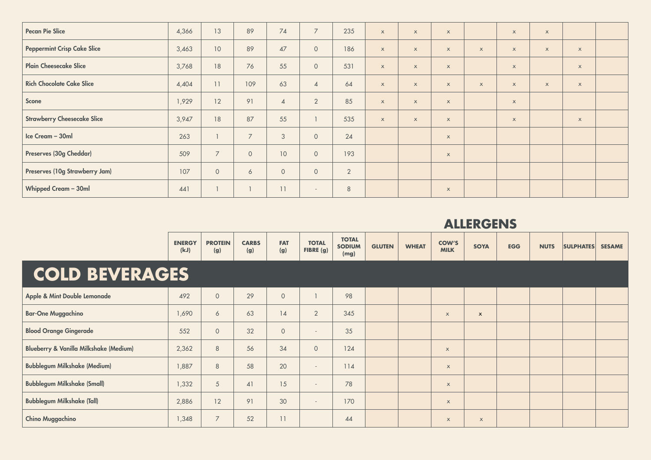| <b>Pecan Pie Slice</b>             | 4,366 | 13             | 89             | $74$            | $\overline{7}$           | 235            | $\mathsf{x}$              | $\mathsf{x}$ | $\mathsf{x}$              |                           | $\boldsymbol{\mathsf{X}}$ | $\boldsymbol{\mathsf{X}}$ |                           |  |
|------------------------------------|-------|----------------|----------------|-----------------|--------------------------|----------------|---------------------------|--------------|---------------------------|---------------------------|---------------------------|---------------------------|---------------------------|--|
| <b>Peppermint Crisp Cake Slice</b> | 3,463 | 10             | 89             | 47              | $\circ$                  | 186            | $\mathsf{x}$              | $\mathsf{x}$ | $\boldsymbol{\mathsf{X}}$ | $\mathsf{x}$              | $\mathsf X$               | $\boldsymbol{\mathsf{X}}$ | $\boldsymbol{\mathsf{X}}$ |  |
| <b>Plain Cheesecake Slice</b>      | 3,768 | 18             | 76             | 55              | $\circ$                  | 531            | $\mathsf{x}$              | $\mathsf{x}$ | $\boldsymbol{\mathsf{X}}$ |                           | $\boldsymbol{\mathsf{X}}$ |                           | $\boldsymbol{\mathsf{X}}$ |  |
| <b>Rich Chocolate Cake Slice</b>   | 4,404 | 11             | 109            | 63              | $\overline{4}$           | 64             | $\boldsymbol{\mathsf{X}}$ | $\mathsf{x}$ | $\boldsymbol{\mathsf{X}}$ | $\boldsymbol{\mathsf{X}}$ | $\boldsymbol{\mathsf{X}}$ | $\boldsymbol{\mathsf{X}}$ | $\boldsymbol{\mathsf{X}}$ |  |
| Scone                              | 1,929 | 12             | 91             | $\overline{4}$  | $\overline{2}$           | 85             | $\mathsf X$               | $\mathsf{x}$ | $\boldsymbol{\mathsf{X}}$ |                           | $\mathsf X$               |                           |                           |  |
| <b>Strawberry Cheesecake Slice</b> | 3,947 | 18             | 87             | 55              |                          | 535            | $\boldsymbol{\mathsf{X}}$ | $\mathsf{x}$ | $\boldsymbol{\mathsf{X}}$ |                           | $\boldsymbol{\mathsf{X}}$ |                           | $\boldsymbol{\mathsf{X}}$ |  |
| Ice Cream - 30ml                   | 263   |                | $\overline{7}$ | 3               | $\circ$                  | 24             |                           |              | $\mathsf{x}$              |                           |                           |                           |                           |  |
| Preserves (30g Cheddar)            | 509   | $\overline{7}$ | $\circ$        | 10 <sup>°</sup> | $\circ$                  | 193            |                           |              | $\mathsf X$               |                           |                           |                           |                           |  |
| Preserves (10g Strawberry Jam)     | 107   | $\circ$        | 6              | $\circ$         | $\circ$                  | $\overline{2}$ |                           |              |                           |                           |                           |                           |                           |  |
| Whipped Cream - 30ml               | 441   |                |                | 11              | $\overline{\phantom{a}}$ | $\,8\,$        |                           |              | $\boldsymbol{\mathsf{X}}$ |                           |                           |                           |                           |  |

|                                                   | <b>ENERGY</b><br>(kJ) | <b>PROTEIN</b><br>(g) | <b>CARBS</b><br>(g) | <b>FAT</b><br>(g) | <b>TOTAL</b><br>FIBRE (g) | <b>TOTAL</b><br><b>SODIUM</b><br>(mg) | <b>GLUTEN</b> | <b>WHEAT</b> | <b>COW'S</b><br><b>MILK</b> | <b>SOYA</b>               | <b>EGG</b> | <b>NUTS</b> | <b>SULPHATES</b> | <b>SESAME</b> |
|---------------------------------------------------|-----------------------|-----------------------|---------------------|-------------------|---------------------------|---------------------------------------|---------------|--------------|-----------------------------|---------------------------|------------|-------------|------------------|---------------|
| <b>COLD BEVERAGES</b>                             |                       |                       |                     |                   |                           |                                       |               |              |                             |                           |            |             |                  |               |
| Apple & Mint Double Lemonade                      | 492                   | $\circ$               | 29                  | $\circ$           |                           | 98                                    |               |              |                             |                           |            |             |                  |               |
| <b>Bar-One Muggachino</b>                         | 1,690                 | 6                     | 63                  | $\overline{14}$   | $\overline{2}$            | 345                                   |               |              | $\times$                    | $\boldsymbol{\mathsf{x}}$ |            |             |                  |               |
| <b>Blood Orange Gingerade</b>                     | 552                   | $\overline{O}$        | 32                  | $\circ$           | $\overline{\phantom{a}}$  | 35                                    |               |              |                             |                           |            |             |                  |               |
| <b>Blueberry &amp; Vanilla Milkshake (Medium)</b> | 2,362                 | 8                     | 56                  | 34                | $\circ$                   | 124                                   |               |              | $\times$                    |                           |            |             |                  |               |
| <b>Bubblegum Milkshake (Medium)</b>               | ,887                  | 8                     | 58                  | 20                | $\sim$                    | 114                                   |               |              | $\mathsf{x}$                |                           |            |             |                  |               |
| <b>Bubblegum Milkshake (Small)</b>                | 1,332                 | 5                     | 41                  | 15                | $\overline{\phantom{a}}$  | 78                                    |               |              | $\boldsymbol{\mathsf{X}}$   |                           |            |             |                  |               |
| <b>Bubblegum Milkshake (Tall)</b>                 | 2,886                 | 12                    | 91                  | 30                | $\overline{\phantom{a}}$  | 170                                   |               |              | $\mathsf{x}$                |                           |            |             |                  |               |
| <b>Chino Muggachino</b>                           | 1,348                 | $\overline{7}$        | 52                  | 11                |                           | 44                                    |               |              | $\boldsymbol{\mathsf{X}}$   | $\mathsf{X}$              |            |             |                  |               |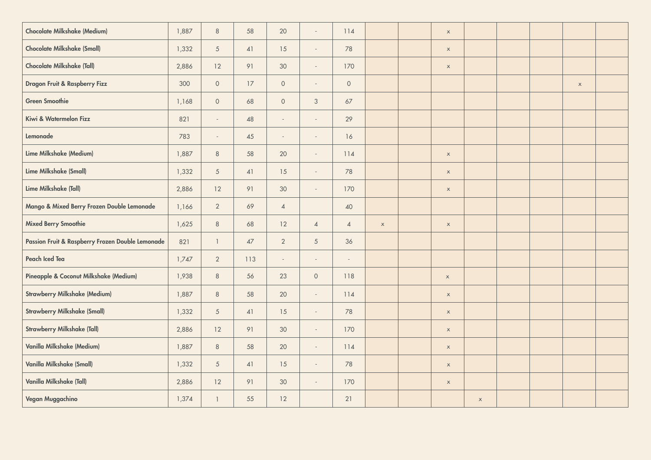| <b>Chocolate Milkshake (Medium)</b>              | 1,887 | $\,8\,$         | 58   | 20                       | $\overline{\phantom{a}}$ | 114                      |             | $\mathsf X$               |             |  |             |  |
|--------------------------------------------------|-------|-----------------|------|--------------------------|--------------------------|--------------------------|-------------|---------------------------|-------------|--|-------------|--|
| <b>Chocolate Milkshake (Small)</b>               | 1,332 | $\overline{5}$  | 41   | 15                       | $\overline{\phantom{a}}$ | 78                       |             | $\mathsf X$               |             |  |             |  |
| <b>Chocolate Milkshake (Tall)</b>                | 2,886 | 12              | 91   | 30                       | $\sim$                   | 170                      |             | $\mathsf X$               |             |  |             |  |
| Dragon Fruit & Raspberry Fizz                    | 300   | $\circ$         | 17   | $\circ$                  | $\overline{\phantom{a}}$ | $\circ$                  |             |                           |             |  | $\mathsf X$ |  |
| <b>Green Smoothie</b>                            | 1,168 | $\circ$         | 68   | $\circ$                  | $\mathcal{S}$            | $67$                     |             |                           |             |  |             |  |
| Kiwi & Watermelon Fizz                           | 821   | $\mathcal{L}$   | 48   | $\overline{\phantom{a}}$ | $\sim$                   | 29                       |             |                           |             |  |             |  |
| Lemonade                                         | 783   | $\sim$          | 45   | $\overline{\phantom{a}}$ | $\sim$                   | 16                       |             |                           |             |  |             |  |
| Lime Milkshake (Medium)                          | 1,887 | $8\phantom{1}$  | 58   | 20                       | $\sim$                   | 114                      |             | $\mathsf X$               |             |  |             |  |
| Lime Milkshake (Small)                           | 1,332 | $\overline{5}$  | 41   | 15                       | $\overline{\phantom{a}}$ | 78                       |             | $\mathsf X$               |             |  |             |  |
| Lime Milkshake (Tall)                            | 2,886 | 12              | 91   | 30                       | $\overline{\phantom{a}}$ | 170                      |             | $\mathsf X$               |             |  |             |  |
| Mango & Mixed Berry Frozen Double Lemonade       | 1,166 | $\overline{2}$  | 69   | $\overline{4}$           |                          | $40\,$                   |             |                           |             |  |             |  |
| <b>Mixed Berry Smoothie</b>                      | 1,625 | $\,8\,$         | 68   | 12                       | $\overline{4}$           | $\overline{4}$           | $\mathsf X$ | $\mathsf X$               |             |  |             |  |
| Passion Fruit & Raspberry Frozen Double Lemonade | 821   | $\mathbf{1}$    | $47$ | $\overline{2}$           | $\sqrt{5}$               | 36                       |             |                           |             |  |             |  |
| Peach Iced Tea                                   | 1,747 | $\overline{2}$  | 113  | $\overline{\phantom{a}}$ | $\overline{\phantom{a}}$ | $\overline{\phantom{a}}$ |             |                           |             |  |             |  |
| Pineapple & Coconut Milkshake (Medium)           | 1,938 | $\,8\,$         | 56   | 23                       | $\circ$                  | 118                      |             | $\mathsf X$               |             |  |             |  |
| <b>Strawberry Milkshake (Medium)</b>             | 1,887 | $\,8\,$         | 58   | 20                       | $\sim$                   | 114                      |             | $\mathsf X$               |             |  |             |  |
| <b>Strawberry Milkshake (Small)</b>              | 1,332 | $\overline{5}$  | 41   | 15                       | $\sim$                   | 78                       |             | $\mathsf X$               |             |  |             |  |
| <b>Strawberry Milkshake (Tall)</b>               | 2,886 | 12              | 91   | 30                       | $\sim$                   | 170                      |             | $\mathsf X$               |             |  |             |  |
| Vanilla Milkshake (Medium)                       | 1,887 | $\,8\,$         | 58   | 20                       | $\sim$                   | 114                      |             | $\mathsf X$               |             |  |             |  |
| Vanilla Milkshake (Small)                        | 1,332 | $5\overline{)}$ | 41   | 15                       | $\sim$                   | 78                       |             | $\boldsymbol{\mathsf{x}}$ |             |  |             |  |
| Vanilla Milkshake (Tall)                         | 2,886 | 12              | 91   | $30\,$                   | $\sim$                   | 170                      |             | $\mathsf X$               |             |  |             |  |
| Vegan Muggachino                                 | 1,374 | $\mathbf{1}$    | 55   | 12                       |                          | 21                       |             |                           | $\mathsf X$ |  |             |  |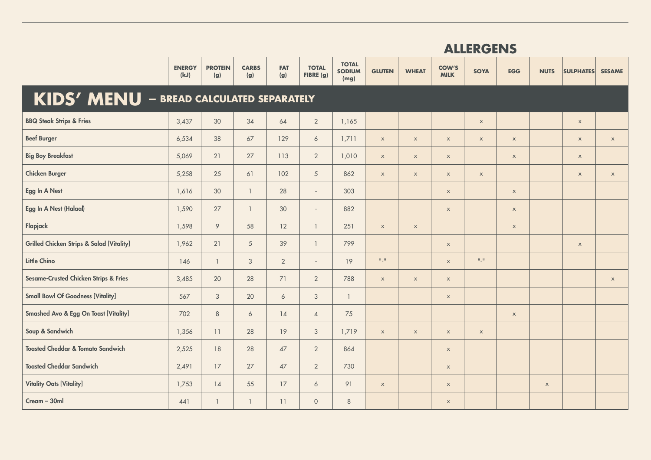|                                                      | <b>ALLERGENS</b>      |                       |                     |                   |                           |                                       |                     |              |                             |                           |                           |                           |                  |                           |
|------------------------------------------------------|-----------------------|-----------------------|---------------------|-------------------|---------------------------|---------------------------------------|---------------------|--------------|-----------------------------|---------------------------|---------------------------|---------------------------|------------------|---------------------------|
|                                                      | <b>ENERGY</b><br>(kJ) | <b>PROTEIN</b><br>(g) | <b>CARBS</b><br>(g) | <b>FAT</b><br>(g) | <b>TOTAL</b><br>FIBRE (g) | <b>TOTAL</b><br><b>SODIUM</b><br>(mg) | <b>GLUTEN</b>       | <b>WHEAT</b> | <b>COW'S</b><br><b>MILK</b> | <b>SOYA</b>               | <b>EGG</b>                | <b>NUTS</b>               | <b>SULPHATES</b> | <b>SESAME</b>             |
| KIDS' MENU - BREAD CALCULATED SEPARATELY             |                       |                       |                     |                   |                           |                                       |                     |              |                             |                           |                           |                           |                  |                           |
| <b>BBQ Steak Strips &amp; Fries</b>                  | 3,437                 | 30                    | 34                  | 64                | $\overline{2}$            | 1,165                                 |                     |              |                             | $\boldsymbol{\mathsf{X}}$ |                           |                           | $\mathsf X$      |                           |
| <b>Beef Burger</b>                                   | 6,534                 | 38                    | 67                  | 129               | 6                         | 1,711                                 | $\mathsf X$         | $\mathsf X$  | $\mathsf{x}$                | $\mathsf X$               | $\mathsf X$               |                           | $\mathsf X$      | $\boldsymbol{\mathsf{X}}$ |
| <b>Big Boy Breakfast</b>                             | 5,069                 | 21                    | 27                  | 113               | $\overline{2}$            | 1,010                                 | $\mathsf X$         | $\mathsf X$  | $\mathsf X$                 |                           | $\mathsf X$               |                           | $\mathsf X$      |                           |
| <b>Chicken Burger</b>                                | 5,258                 | 25                    | 61                  | 102               | $\overline{5}$            | 862                                   | $\mathsf X$         | $\mathsf X$  | $\mathsf{x}$                | $\boldsymbol{\mathsf{X}}$ |                           |                           | $\mathsf X$      | $\boldsymbol{\mathsf{x}}$ |
| Egg In A Nest                                        | 1,616                 | 30                    | $\mathbf{1}$        | 28                | $\omega$                  | 303                                   |                     |              | $\mathsf X$                 |                           | $\mathsf X$               |                           |                  |                           |
| Egg In A Nest (Halaal)                               | 1,590                 | 27                    | $\mathbf{1}$        | 30                | $\omega$                  | 882                                   |                     |              | $\boldsymbol{\mathsf{x}}$   |                           | $\boldsymbol{\mathsf{X}}$ |                           |                  |                           |
| Flapjack                                             | 1,598                 | $\circ$               | 58                  | 12                | $\mathbf{1}$              | 251                                   | $\mathsf X$         | $\mathsf X$  |                             |                           | $\mathsf{x}$              |                           |                  |                           |
| <b>Grilled Chicken Strips &amp; Salad [Vitality]</b> | 1,962                 | 21                    | $5\phantom{.0}$     | 39                | $\mathbf{1}$              | 799                                   |                     |              | $\mathsf X$                 |                           |                           |                           | $\mathsf X$      |                           |
| Little Chino                                         | 146                   | $\mathbb{1}$          | $\sqrt{3}$          | $\overline{2}$    | $\sim$                    | 19                                    | $\Pi \subseteq \Pi$ |              | $\boldsymbol{\mathsf{x}}$   | $\Pi \subseteq \Pi$       |                           |                           |                  |                           |
| <b>Sesame-Crusted Chicken Strips &amp; Fries</b>     | 3,485                 | 20                    | 28                  | 71                | $\overline{2}$            | 788                                   | $\mathsf X$         | $\mathsf X$  | $\boldsymbol{\mathsf{x}}$   |                           |                           |                           |                  | $\boldsymbol{\mathsf{X}}$ |
| <b>Small Bowl Of Goodness [Vitality]</b>             | 567                   | $\mathfrak{Z}$        | 20                  | 6                 | $\mathfrak{Z}$            | $\mathbf{1}$                          |                     |              | $\boldsymbol{\mathsf{X}}$   |                           |                           |                           |                  |                           |
| <b>Smashed Avo &amp; Egg On Toast [Vitality]</b>     | 702                   | $\,8\,$               | $\acute{o}$         | 14                | $\sqrt{4}$                | 75                                    |                     |              |                             |                           | $\mathsf X$               |                           |                  |                           |
| Soup & Sandwich                                      | 1,356                 | 11                    | 28                  | 19                | $\sqrt{3}$                | 1,719                                 | $\mathsf X$         | $\mathsf X$  | $\mathsf X$                 | $\mathsf X$               |                           |                           |                  |                           |
| <b>Toasted Cheddar &amp; Tomato Sandwich</b>         | 2,525                 | 18                    | 28                  | 47                | $\overline{2}$            | 864                                   |                     |              | $\mathsf X$                 |                           |                           |                           |                  |                           |
| <b>Toasted Cheddar Sandwich</b>                      | 2,491                 | 17                    | 27                  | $47\,$            | $\overline{2}$            | 730                                   |                     |              | $\mathsf X$                 |                           |                           |                           |                  |                           |
| <b>Vitality Oats [Vitality]</b>                      | 1,753                 | 14                    | 55                  | 17                | $\acute{\rm{o}}$          | 91                                    | $\mathsf X$         |              | $\boldsymbol{\mathsf{X}}$   |                           |                           | $\boldsymbol{\mathsf{X}}$ |                  |                           |
| Cream - 30ml                                         | 441                   | $\mathbf{1}$          | $\mathbf{1}$        | 11                | $\mathsf{O}\xspace$       | 8                                     |                     |              | $\boldsymbol{\mathsf{X}}$   |                           |                           |                           |                  |                           |